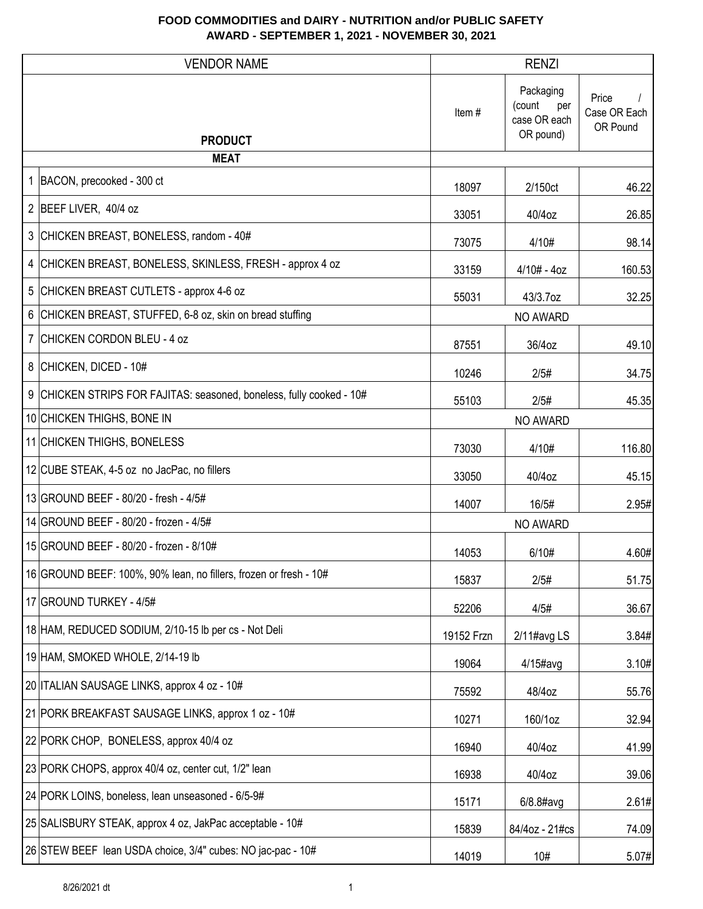|                 | <b>VENDOR NAME</b>                                                   |            | <b>RENZI</b>                                            |                                   |
|-----------------|----------------------------------------------------------------------|------------|---------------------------------------------------------|-----------------------------------|
|                 | <b>PRODUCT</b>                                                       | Item#      | Packaging<br>(count<br>per<br>case OR each<br>OR pound) | Price<br>Case OR Each<br>OR Pound |
|                 | <b>MEAT</b>                                                          |            |                                                         |                                   |
|                 | 1 BACON, precooked - 300 ct                                          | 18097      | 2/150ct                                                 | 46.22                             |
|                 | 2 BEEF LIVER, 40/4 oz                                                | 33051      | 40/4oz                                                  | 26.85                             |
|                 | 3 CHICKEN BREAST, BONELESS, random - 40#                             | 73075      | 4/10#                                                   | 98.14                             |
| 4               | CHICKEN BREAST, BONELESS, SKINLESS, FRESH - approx 4 oz              | 33159      | $4/10# - 4oz$                                           | 160.53                            |
| $5\overline{)}$ | CHICKEN BREAST CUTLETS - approx 4-6 oz                               | 55031      | 43/3.7oz                                                | 32.25                             |
|                 | 6 CHICKEN BREAST, STUFFED, 6-8 oz, skin on bread stuffing            |            | NO AWARD                                                |                                   |
|                 | 7 CHICKEN CORDON BLEU - 4 oz                                         | 87551      | 36/4oz                                                  | 49.10                             |
|                 | 8 CHICKEN, DICED - 10#                                               | 10246      | 2/5#                                                    | 34.75                             |
|                 | 9 CHICKEN STRIPS FOR FAJITAS: seasoned, boneless, fully cooked - 10# | 55103      | 2/5#                                                    | 45.35                             |
|                 | 10 CHICKEN THIGHS, BONE IN                                           |            | NO AWARD                                                |                                   |
|                 | 11 CHICKEN THIGHS, BONELESS                                          | 73030      | 4/10#                                                   | 116.80                            |
|                 | 12 CUBE STEAK, 4-5 oz no JacPac, no fillers                          | 33050      | 40/4oz                                                  | 45.15                             |
|                 | 13 GROUND BEEF - 80/20 - fresh - 4/5#                                | 14007      | 16/5#                                                   | 2.95#                             |
|                 | 14 GROUND BEEF - 80/20 - frozen - 4/5#                               |            | NO AWARD                                                |                                   |
|                 | 15 GROUND BEEF - 80/20 - frozen - 8/10#                              | 14053      | 6/10#                                                   | 4.60#                             |
|                 | 16 GROUND BEEF: 100%, 90% lean, no fillers, frozen or fresh - 10#    | 15837      | 2/5#                                                    | 51.75                             |
|                 | 17 GROUND TURKEY - 4/5#                                              | 52206      | 4/5#                                                    | 36.67                             |
|                 | 18 HAM, REDUCED SODIUM, 2/10-15 lb per cs - Not Deli                 | 19152 Frzn | 2/11#avg LS                                             | 3.84#                             |
|                 | 19 HAM, SMOKED WHOLE, 2/14-19 lb                                     | 19064      | $4/15$ #avg                                             | 3.10#                             |
|                 | 20 ITALIAN SAUSAGE LINKS, approx 4 oz - 10#                          | 75592      | 48/4oz                                                  | 55.76                             |
|                 | 21 PORK BREAKFAST SAUSAGE LINKS, approx 1 oz - 10#                   | 10271      | 160/1oz                                                 | 32.94                             |
|                 | 22 PORK CHOP, BONELESS, approx 40/4 oz                               | 16940      | 40/4oz                                                  | 41.99                             |
|                 | 23 PORK CHOPS, approx 40/4 oz, center cut, 1/2" lean                 | 16938      | 40/4oz                                                  | 39.06                             |
|                 | 24 PORK LOINS, boneless, lean unseasoned - 6/5-9#                    | 15171      | $6/8.8$ #avg                                            | 2.61#                             |
|                 | 25 SALISBURY STEAK, approx 4 oz, JakPac acceptable - 10#             | 15839      | 84/4oz - 21#cs                                          | 74.09                             |
|                 | 26 STEW BEEF lean USDA choice, 3/4" cubes: NO jac-pac - 10#          | 14019      | 10#                                                     | 5.07#                             |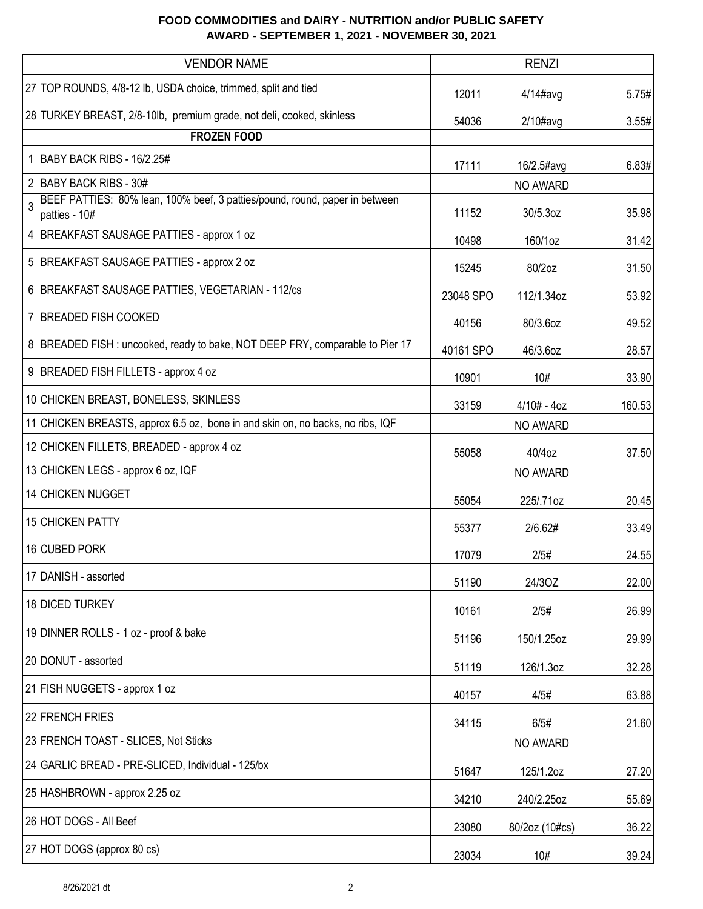|   | <b>VENDOR NAME</b>                                                                           |           | <b>RENZI</b>    |        |
|---|----------------------------------------------------------------------------------------------|-----------|-----------------|--------|
|   | 27 TOP ROUNDS, 4/8-12 lb, USDA choice, trimmed, split and tied                               | 12011     | $4/14$ #avg     | 5.75#  |
|   | 28 TURKEY BREAST, 2/8-10lb, premium grade, not deli, cooked, skinless                        | 54036     | $2/10\#avg$     | 3.55#  |
|   | <b>FROZEN FOOD</b>                                                                           |           |                 |        |
|   | 1   BABY BACK RIBS - 16/2.25#                                                                | 17111     | 16/2.5#avg      | 6.83#  |
|   | 2 BABY BACK RIBS - 30#                                                                       |           | NO AWARD        |        |
| 3 | BEEF PATTIES: 80% lean, 100% beef, 3 patties/pound, round, paper in between<br>patties - 10# | 11152     | 30/5.3oz        | 35.98  |
|   | 4 BREAKFAST SAUSAGE PATTIES - approx 1 oz                                                    | 10498     | 160/1oz         | 31.42  |
| 5 | <b>BREAKFAST SAUSAGE PATTIES - approx 2 oz</b>                                               | 15245     | 80/2oz          | 31.50  |
| 6 | BREAKFAST SAUSAGE PATTIES, VEGETARIAN - 112/cs                                               | 23048 SPO | 112/1.34oz      | 53.92  |
| 7 | <b>BREADED FISH COOKED</b>                                                                   | 40156     | 80/3.6oz        | 49.52  |
|   | 8 BREADED FISH: uncooked, ready to bake, NOT DEEP FRY, comparable to Pier 17                 | 40161 SPO | 46/3.6oz        | 28.57  |
| 9 | BREADED FISH FILLETS - approx 4 oz                                                           | 10901     | 10#             | 33.90  |
|   | 10 CHICKEN BREAST, BONELESS, SKINLESS                                                        | 33159     | $4/10# - 4oz$   | 160.53 |
|   | 11 CHICKEN BREASTS, approx 6.5 oz, bone in and skin on, no backs, no ribs, IQF               |           | NO AWARD        |        |
|   | 12 CHICKEN FILLETS, BREADED - approx 4 oz                                                    | 55058     | 40/4oz          | 37.50  |
|   | 13 CHICKEN LEGS - approx 6 oz, IQF                                                           |           | <b>NO AWARD</b> |        |
|   | 14 CHICKEN NUGGET                                                                            | 55054     | 225/.71oz       | 20.45  |
|   | 15 CHICKEN PATTY                                                                             | 55377     | 2/6.62#         | 33.49  |
|   | 16 CUBED PORK                                                                                | 17079     | 2/5#            | 24.55  |
|   | 17 DANISH - assorted                                                                         | 51190     | 24/3OZ          | 22.00  |
|   | 18 DICED TURKEY                                                                              | 10161     | 2/5#            | 26.99  |
|   | 19 DINNER ROLLS - 1 oz - proof & bake                                                        | 51196     | 150/1.25oz      | 29.99  |
|   | 20 DONUT - assorted                                                                          | 51119     | 126/1.3oz       | 32.28  |
|   | 21 FISH NUGGETS - approx 1 oz                                                                | 40157     | 4/5#            | 63.88  |
|   | 22 FRENCH FRIES                                                                              | 34115     | 6/5#            | 21.60  |
|   | 23 FRENCH TOAST - SLICES, Not Sticks                                                         |           | NO AWARD        |        |
|   | 24 GARLIC BREAD - PRE-SLICED, Individual - 125/bx                                            | 51647     | 125/1.2oz       | 27.20  |
|   | 25 HASHBROWN - approx 2.25 oz                                                                | 34210     | 240/2.25oz      | 55.69  |
|   | 26 HOT DOGS - All Beef                                                                       | 23080     | 80/2oz (10#cs)  | 36.22  |
|   | 27 HOT DOGS (approx 80 cs)                                                                   | 23034     | 10#             | 39.24  |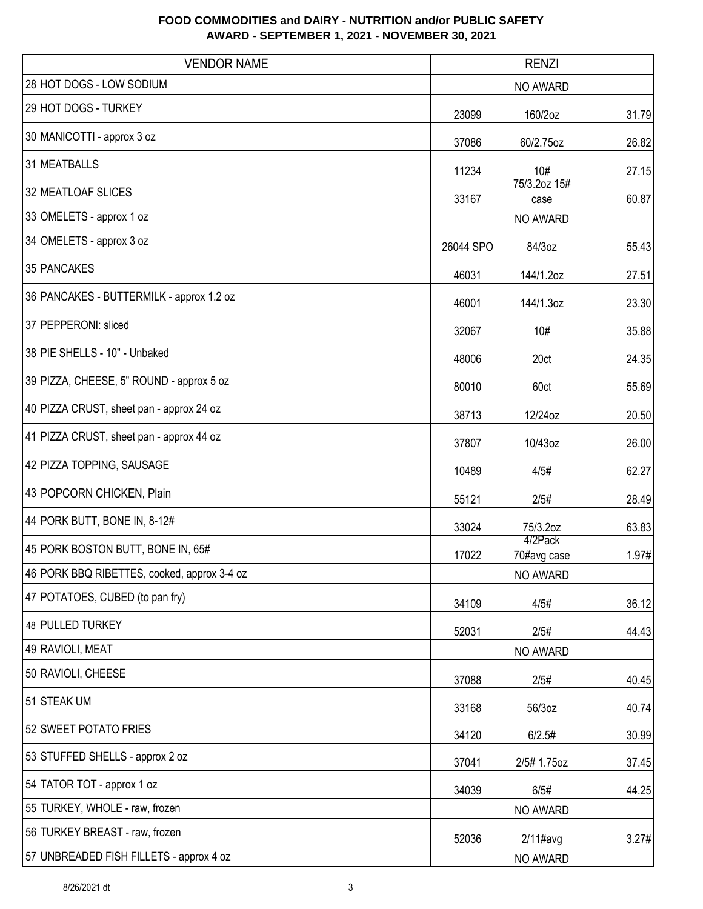| <b>VENDOR NAME</b>                          | <b>RENZI</b> |                        |       |
|---------------------------------------------|--------------|------------------------|-------|
| 28 HOT DOGS - LOW SODIUM                    | NO AWARD     |                        |       |
| 29 HOT DOGS - TURKEY                        | 23099        | 160/2oz                | 31.79 |
| 30 MANICOTTI - approx 3 oz                  | 37086        | 60/2.75oz              | 26.82 |
| 31 MEATBALLS                                | 11234        | 10#                    | 27.15 |
| 32 MEATLOAF SLICES                          | 33167        | 75/3.2oz 15#<br>case   | 60.87 |
| 33 OMELETS - approx 1 oz                    |              | NO AWARD               |       |
| 34 OMELETS - approx 3 oz                    | 26044 SPO    | 84/3oz                 | 55.43 |
| 35 PANCAKES                                 | 46031        | 144/1.2oz              | 27.51 |
| 36 PANCAKES - BUTTERMILK - approx 1.2 oz    | 46001        | 144/1.3oz              | 23.30 |
| 37 PEPPERONI: sliced                        | 32067        | 10#                    | 35.88 |
| 38 PIE SHELLS - 10" - Unbaked               | 48006        | 20ct                   | 24.35 |
| 39 PIZZA, CHEESE, 5" ROUND - approx 5 oz    | 80010        | 60ct                   | 55.69 |
| 40 PIZZA CRUST, sheet pan - approx 24 oz    | 38713        | 12/24oz                | 20.50 |
| 41 PIZZA CRUST, sheet pan - approx 44 oz    | 37807        | 10/43oz                | 26.00 |
| 42 PIZZA TOPPING, SAUSAGE                   | 10489        | 4/5#                   | 62.27 |
| 43 POPCORN CHICKEN, Plain                   | 55121        | 2/5#                   | 28.49 |
| 44 PORK BUTT, BONE IN, 8-12#                | 33024        | 75/3.2oz               | 63.83 |
| 45 PORK BOSTON BUTT, BONE IN, 65#           | 17022        | 4/2Pack<br>70#avg case | 1.97# |
| 46 PORK BBQ RIBETTES, cooked, approx 3-4 oz |              | NO AWARD               |       |
| 47 POTATOES, CUBED (to pan fry)             | 34109        | 4/5#                   | 36.12 |
| 48 PULLED TURKEY                            | 52031        | 2/5#                   | 44.43 |
| 49 RAVIOLI, MEAT                            |              | NO AWARD               |       |
| 50 RAVIOLI, CHEESE                          | 37088        | 2/5#                   | 40.45 |
| 51 STEAK UM                                 | 33168        | 56/3oz                 | 40.74 |
| 52 SWEET POTATO FRIES                       | 34120        | 6/2.5#                 | 30.99 |
| 53 STUFFED SHELLS - approx 2 oz             | 37041        | 2/5# 1.75oz            | 37.45 |
| 54 TATOR TOT - approx 1 oz                  | 34039        | 6/5#                   | 44.25 |
| 55 TURKEY, WHOLE - raw, frozen              |              | NO AWARD               |       |
| 56 TURKEY BREAST - raw, frozen              | 52036        | $2/11$ #avg            | 3.27# |
| 57 UNBREADED FISH FILLETS - approx 4 oz     |              | NO AWARD               |       |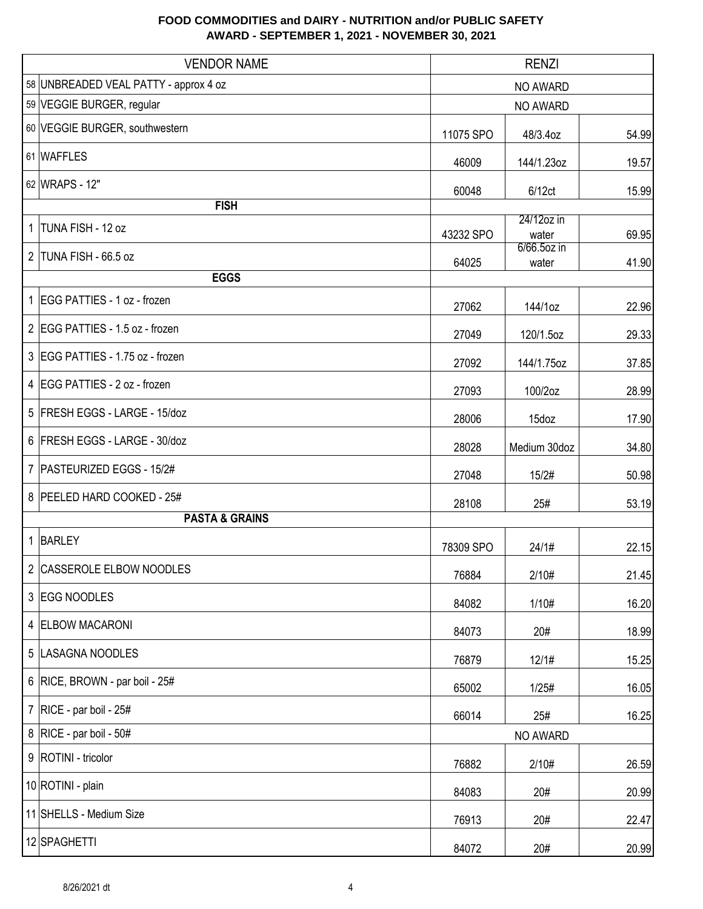| <b>VENDOR NAME</b>                    |           | <b>RENZI</b>         |       |
|---------------------------------------|-----------|----------------------|-------|
| 58 UNBREADED VEAL PATTY - approx 4 oz |           | NO AWARD             |       |
| 59 VEGGIE BURGER, regular             |           | NO AWARD             |       |
| 60 VEGGIE BURGER, southwestern        | 11075 SPO | 48/3.4oz             | 54.99 |
| 61 WAFFLES                            | 46009     | 144/1.23oz           | 19.57 |
| 62 WRAPS - 12"                        | 60048     | 6/12ct               | 15.99 |
| <b>FISH</b>                           |           | 24/12oz in           |       |
| 1 TUNA FISH - 12 oz                   | 43232 SPO | water                | 69.95 |
| 2 TUNA FISH - 66.5 oz                 | 64025     | 6/66.5oz in<br>water | 41.90 |
| <b>EGGS</b>                           |           |                      |       |
| 1 EGG PATTIES - 1 oz - frozen         | 27062     | 144/1oz              | 22.96 |
| 2 EGG PATTIES - 1.5 oz - frozen       | 27049     | 120/1.5oz            | 29.33 |
| 3 EGG PATTIES - 1.75 oz - frozen      | 27092     | 144/1.75oz           | 37.85 |
| 4 EGG PATTIES - 2 oz - frozen         | 27093     | 100/2oz              | 28.99 |
| 5 FRESH EGGS - LARGE - 15/doz         | 28006     | 15doz                | 17.90 |
| 6 FRESH EGGS - LARGE - 30/doz         | 28028     | Medium 30doz         | 34.80 |
| 7   PASTEURIZED EGGS - 15/2#          | 27048     | 15/2#                | 50.98 |
| 8 PEELED HARD COOKED - 25#            | 28108     | 25#                  | 53.19 |
| <b>PASTA &amp; GRAINS</b>             |           |                      |       |
| 1 BARLEY                              | 78309 SPO | 24/1#                | 22.15 |
| 2 CASSEROLE ELBOW NOODLES             | 76884     | 2/10#                | 21.45 |
| 3 EGG NOODLES                         | 84082     | 1/10#                | 16.20 |
| 4 ELBOW MACARONI                      | 84073     | 20#                  | 18.99 |
| 5 LASAGNA NOODLES                     | 76879     | 12/1#                | 15.25 |
| 6   RICE, BROWN - par boil - 25#      | 65002     | 1/25#                | 16.05 |
| 7   RICE - par boil - $25#$           | 66014     | 25#                  | 16.25 |
| 8 RICE - par boil - 50#               |           | NO AWARD             |       |
| 9   ROTINI - tricolor                 | 76882     | 2/10#                | 26.59 |
| 10 ROTINI - plain                     | 84083     | 20#                  | 20.99 |
| 11 SHELLS - Medium Size               | 76913     | 20#                  | 22.47 |
| 12 SPAGHETTI                          | 84072     | 20#                  | 20.99 |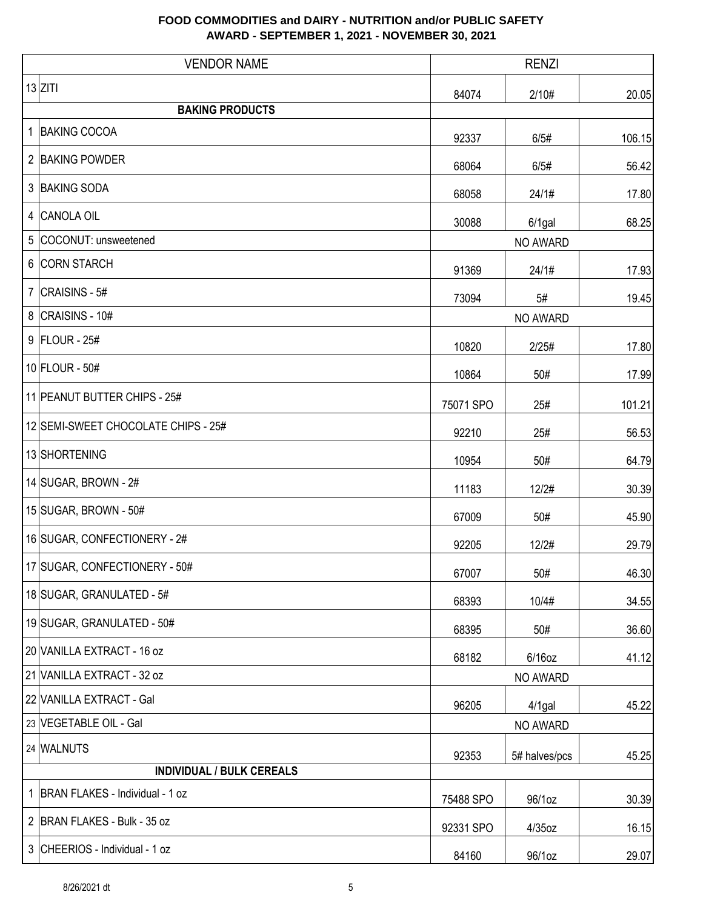|   | <b>VENDOR NAME</b>                  | <b>RENZI</b> |               |        |
|---|-------------------------------------|--------------|---------------|--------|
|   | $13$ ZITI                           | 84074        | 2/10#         | 20.05  |
|   | <b>BAKING PRODUCTS</b>              |              |               |        |
|   | 1 BAKING COCOA                      | 92337        | 6/5#          | 106.15 |
|   | 2 BAKING POWDER                     | 68064        | 6/5#          | 56.42  |
|   | 3 BAKING SODA                       | 68058        | 24/1#         | 17.80  |
|   | 4 CANOLA OIL                        | 30088        | $6/1$ gal     | 68.25  |
|   | 5 COCONUT: unsweetened              |              | NO AWARD      |        |
|   | 6 CORN STARCH                       | 91369        | 24/1#         | 17.93  |
|   | 7 $ CRAISINS - 5#$                  | 73094        | 5#            | 19.45  |
|   | 8 CRAISINS - 10#                    |              | NO AWARD      |        |
|   | $9$ FLOUR - 25#                     | 10820        | 2/25#         | 17.80  |
|   | 10 FLOUR - 50#                      | 10864        | 50#           | 17.99  |
|   | 11 PEANUT BUTTER CHIPS - 25#        | 75071 SPO    | 25#           | 101.21 |
|   | 12 SEMI-SWEET CHOCOLATE CHIPS - 25# | 92210        | 25#           | 56.53  |
|   | 13 SHORTENING                       | 10954        | 50#           | 64.79  |
|   | 14 SUGAR, BROWN - 2#                | 11183        | 12/2#         | 30.39  |
|   | 15 SUGAR, BROWN - 50#               | 67009        | 50#           | 45.90  |
|   | 16 SUGAR, CONFECTIONERY - 2#        | 92205        | 12/2#         | 29.79  |
|   | 17 SUGAR, CONFECTIONERY - 50#       | 67007        | 50#           | 46.30  |
|   | 18 SUGAR, GRANULATED - 5#           | 68393        | 10/4#         | 34.55  |
|   | 19 SUGAR, GRANULATED - 50#          | 68395        | 50#           | 36.60  |
|   | 20 VANILLA EXTRACT - 16 oz          | 68182        | $6/16$ oz     | 41.12  |
|   | 21 VANILLA EXTRACT - 32 oz          |              | NO AWARD      |        |
|   | 22 VANILLA EXTRACT - Gal            | 96205        | $4/1$ gal     | 45.22  |
|   | 23 VEGETABLE OIL - Gal              |              | NO AWARD      |        |
|   | 24 WALNUTS                          | 92353        | 5# halves/pcs | 45.25  |
|   | <b>INDIVIDUAL / BULK CEREALS</b>    |              |               |        |
| 1 | BRAN FLAKES - Individual - 1 oz     | 75488 SPO    | 96/1oz        | 30.39  |
|   | 2 BRAN FLAKES - Bulk - 35 oz        | 92331 SPO    | $4/35$ oz     | 16.15  |
|   | 3 CHEERIOS - Individual - 1 oz      | 84160        | 96/1oz        | 29.07  |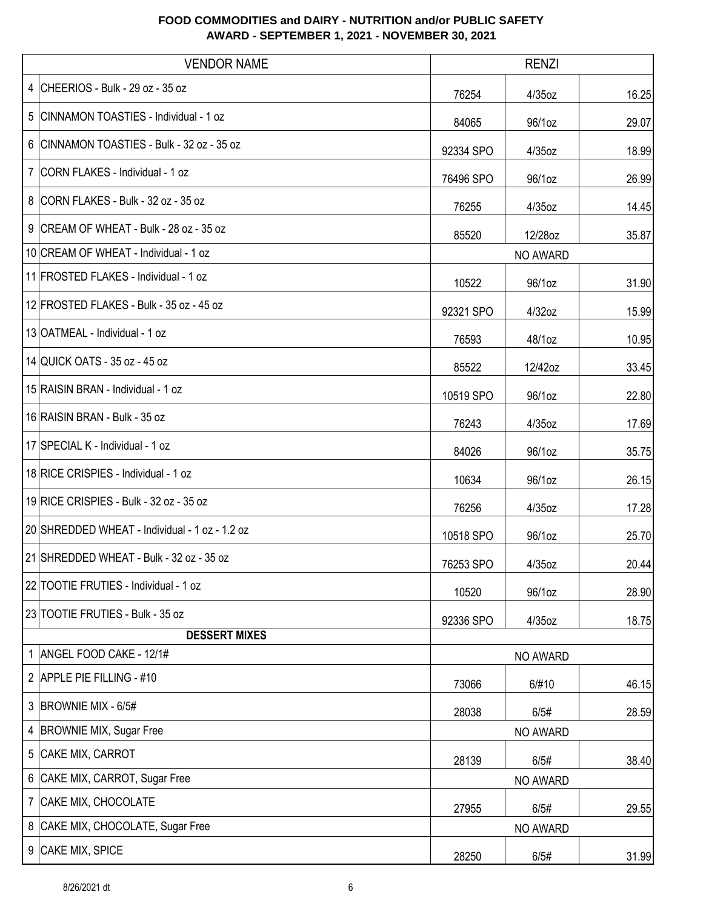| <b>VENDOR NAME</b>                             | <b>RENZI</b> |                 |       |
|------------------------------------------------|--------------|-----------------|-------|
| 4 CHEERIOS - Bulk - 29 oz - 35 oz              | 76254        | 4/35oz          | 16.25 |
| 5 CINNAMON TOASTIES - Individual - 1 oz        | 84065        | 96/1oz          | 29.07 |
| 6 CINNAMON TOASTIES - Bulk - 32 oz - 35 oz     | 92334 SPO    | 4/35oz          | 18.99 |
| 7   CORN FLAKES - Individual - 1 oz            | 76496 SPO    | 96/1oz          | 26.99 |
| 8 CORN FLAKES - Bulk - 32 oz - 35 oz           | 76255        | 4/35oz          | 14.45 |
| 9 CREAM OF WHEAT - Bulk - 28 oz - 35 oz        | 85520        | 12/28oz         | 35.87 |
| 10 CREAM OF WHEAT - Individual - 1 oz          |              | <b>NO AWARD</b> |       |
| 11 FROSTED FLAKES - Individual - 1 oz          | 10522        | 96/1oz          | 31.90 |
| 12 FROSTED FLAKES - Bulk - 35 oz - 45 oz       | 92321 SPO    | 4/32oz          | 15.99 |
| 13 OATMEAL - Individual - 1 oz                 | 76593        | 48/1oz          | 10.95 |
| 14 QUICK OATS - 35 oz - 45 oz                  | 85522        | 12/42oz         | 33.45 |
| 15 RAISIN BRAN - Individual - 1 oz             | 10519 SPO    | 96/1oz          | 22.80 |
| 16 RAISIN BRAN - Bulk - 35 oz                  | 76243        | $4/35$ oz       | 17.69 |
| 17 SPECIAL K - Individual - 1 oz               | 84026        | 96/1oz          | 35.75 |
| 18 RICE CRISPIES - Individual - 1 oz           | 10634        | 96/1oz          | 26.15 |
| 19 RICE CRISPIES - Bulk - 32 oz - 35 oz        | 76256        | $4/35$ oz       | 17.28 |
| 20 SHREDDED WHEAT - Individual - 1 oz - 1.2 oz | 10518 SPO    | 96/1oz          | 25.70 |
| 21 SHREDDED WHEAT - Bulk - 32 oz - 35 oz       | 76253 SPO    | 4/35oz          | 20.44 |
| 22 TOOTIE FRUTIES - Individual - 1 oz          | 10520        | 96/1oz          | 28.90 |
| 23 TOOTIE FRUTIES - Bulk - 35 oz               | 92336 SPO    | 4/35oz          | 18.75 |
| <b>DESSERT MIXES</b>                           |              |                 |       |
| 1 ANGEL FOOD CAKE - 12/1#                      |              | <b>NO AWARD</b> |       |
| 2 APPLE PIE FILLING - #10                      | 73066        | 6/#10           | 46.15 |
| 3 BROWNIE MIX - 6/5#                           | 28038        | 6/5#            | 28.59 |
| 4 BROWNIE MIX, Sugar Free                      |              | NO AWARD        |       |
| 5 CAKE MIX, CARROT                             | 28139        | 6/5#            | 38.40 |
| 6 CAKE MIX, CARROT, Sugar Free                 |              | NO AWARD        |       |
| 7 CAKE MIX, CHOCOLATE                          | 27955        | 6/5#            | 29.55 |
| 8 CAKE MIX, CHOCOLATE, Sugar Free              |              | NO AWARD        |       |
| 9 CAKE MIX, SPICE                              | 28250        | 6/5#            | 31.99 |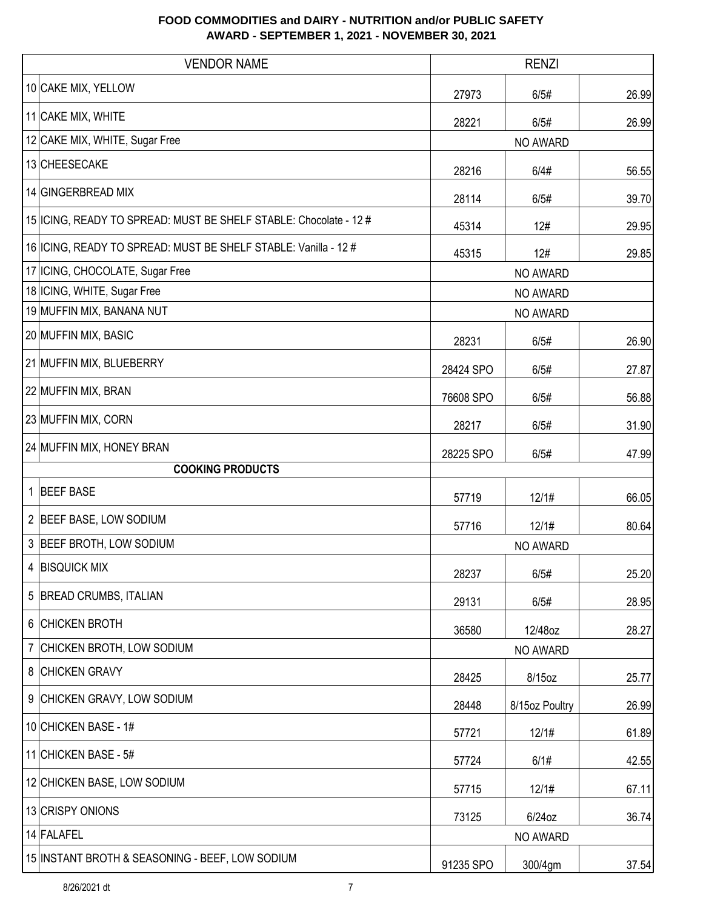| <b>VENDOR NAME</b>                                                  |           | <b>RENZI</b>   |       |
|---------------------------------------------------------------------|-----------|----------------|-------|
| 10 CAKE MIX, YELLOW                                                 | 27973     | 6/5#           | 26.99 |
| 11 CAKE MIX, WHITE                                                  | 28221     | 6/5#           | 26.99 |
| 12 CAKE MIX, WHITE, Sugar Free                                      |           | NO AWARD       |       |
| 13 CHEESECAKE                                                       | 28216     | 6/4#           | 56.55 |
| 14 GINGERBREAD MIX                                                  | 28114     | 6/5#           | 39.70 |
| 15   ICING, READY TO SPREAD: MUST BE SHELF STABLE: Chocolate - 12 # | 45314     | 12#            | 29.95 |
| 16 ICING, READY TO SPREAD: MUST BE SHELF STABLE: Vanilla - 12 #     | 45315     | 12#            | 29.85 |
| 17 ICING, CHOCOLATE, Sugar Free                                     |           | NO AWARD       |       |
| 18 ICING, WHITE, Sugar Free                                         |           | NO AWARD       |       |
| 19 MUFFIN MIX, BANANA NUT                                           |           | NO AWARD       |       |
| 20 MUFFIN MIX, BASIC                                                | 28231     | 6/5#           | 26.90 |
| 21 MUFFIN MIX, BLUEBERRY                                            | 28424 SPO | 6/5#           | 27.87 |
| 22 MUFFIN MIX, BRAN                                                 | 76608 SPO | 6/5#           | 56.88 |
| 23 MUFFIN MIX, CORN                                                 | 28217     | 6/5#           | 31.90 |
| 24 MUFFIN MIX, HONEY BRAN                                           | 28225 SPO | 6/5#           | 47.99 |
| <b>COOKING PRODUCTS</b>                                             |           |                |       |
| 1 BEEF BASE                                                         | 57719     | 12/1#          | 66.05 |
| 2 BEEF BASE, LOW SODIUM                                             | 57716     | 12/1#          | 80.64 |
| 3 BEEF BROTH, LOW SODIUM                                            |           | NO AWARD       |       |
| <b>BISQUICK MIX</b><br>$\overline{4}$                               | 28237     | 6/5#           | 25.20 |
| 5 BREAD CRUMBS, ITALIAN                                             | 29131     | 6/5#           | 28.95 |
| 6 CHICKEN BROTH                                                     | 36580     | 12/48oz        | 28.27 |
| 7 CHICKEN BROTH, LOW SODIUM                                         |           | NO AWARD       |       |
| 8 CHICKEN GRAVY                                                     | 28425     | 8/15oz         | 25.77 |
| 9 CHICKEN GRAVY, LOW SODIUM                                         | 28448     | 8/15oz Poultry | 26.99 |
| 10 CHICKEN BASE - 1#                                                | 57721     | 12/1#          | 61.89 |
| 11 CHICKEN BASE - 5#                                                | 57724     | 6/1#           | 42.55 |
| 12 CHICKEN BASE, LOW SODIUM                                         | 57715     | 12/1#          | 67.11 |
| 13 CRISPY ONIONS                                                    | 73125     | 6/24oz         | 36.74 |
| 14 FALAFEL                                                          |           | NO AWARD       |       |
| 15 INSTANT BROTH & SEASONING - BEEF, LOW SODIUM                     | 91235 SPO | 300/4gm        | 37.54 |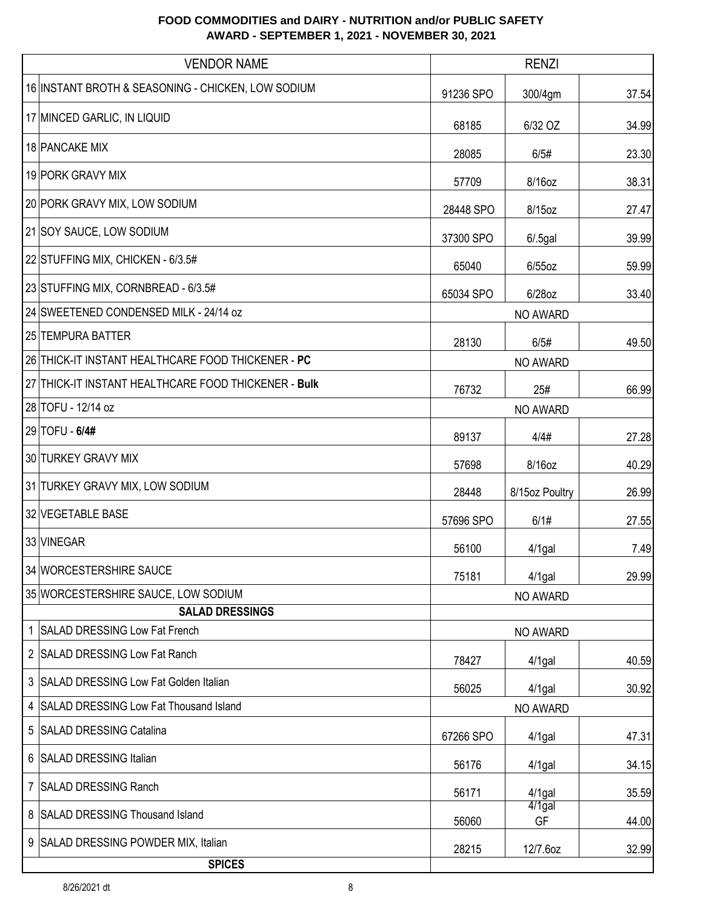|    | <b>VENDOR NAME</b>                                 |           | <b>RENZI</b>    |       |
|----|----------------------------------------------------|-----------|-----------------|-------|
|    | 16 INSTANT BROTH & SEASONING - CHICKEN, LOW SODIUM | 91236 SPO | 300/4gm         | 37.54 |
|    | 17 MINCED GARLIC, IN LIQUID                        | 68185     | 6/32 OZ         | 34.99 |
|    | 18 PANCAKE MIX                                     | 28085     | 6/5#            | 23.30 |
|    | 19 PORK GRAVY MIX                                  | 57709     | 8/16oz          | 38.31 |
|    | 20 PORK GRAVY MIX, LOW SODIUM                      | 28448 SPO | 8/15oz          | 27.47 |
|    | 21 SOY SAUCE, LOW SODIUM                           | 37300 SPO | $6/0.5$ gal     | 39.99 |
|    | 22 STUFFING MIX, CHICKEN - 6/3.5#                  | 65040     | $6/55$ oz       | 59.99 |
|    | 23 STUFFING MIX, CORNBREAD - 6/3.5#                | 65034 SPO | 6/28oz          | 33.40 |
|    | 24 SWEETENED CONDENSED MILK - 24/14 oz             |           | NO AWARD        |       |
|    | 25 TEMPURA BATTER                                  | 28130     | 6/5#            | 49.50 |
|    | 26 THICK-IT INSTANT HEALTHCARE FOOD THICKENER - PC |           | NO AWARD        |       |
| 27 | THICK-IT INSTANT HEALTHCARE FOOD THICKENER - Bulk  | 76732     | 25#             | 66.99 |
|    | 28 TOFU - 12/14 oz                                 |           | NO AWARD        |       |
|    | 29 TOFU - 6/4#                                     | 89137     | 4/4#            | 27.28 |
|    | 30 TURKEY GRAVY MIX                                | 57698     | 8/16oz          | 40.29 |
|    | 31 TURKEY GRAVY MIX, LOW SODIUM                    | 28448     | 8/15oz Poultry  | 26.99 |
|    | 32 VEGETABLE BASE                                  | 57696 SPO | 6/1#            | 27.55 |
|    | 33 VINEGAR                                         | 56100     | $4/1$ gal       | 7.49  |
|    | 34 WORCESTERSHIRE SAUCE                            | 75181     | $4/1$ gal       | 29.99 |
|    | 35 WORCESTERSHIRE SAUCE, LOW SODIUM                |           | NO AWARD        |       |
|    | <b>SALAD DRESSINGS</b>                             |           |                 |       |
| 1  | SALAD DRESSING Low Fat French                      |           | NO AWARD        |       |
| 2  | <b>SALAD DRESSING Low Fat Ranch</b>                | 78427     | $4/1$ gal       | 40.59 |
| 3  | SALAD DRESSING Low Fat Golden Italian              | 56025     | $4/1$ gal       | 30.92 |
| 4  | <b>SALAD DRESSING Low Fat Thousand Island</b>      |           | NO AWARD        |       |
| 5  | <b>SALAD DRESSING Catalina</b>                     | 67266 SPO | $4/1$ gal       | 47.31 |
| 6  | <b>SALAD DRESSING Italian</b>                      | 56176     | $4/1$ gal       | 34.15 |
| 7  | <b>SALAD DRESSING Ranch</b>                        | 56171     | $4/1$ gal       | 35.59 |
| 8  | SALAD DRESSING Thousand Island                     | 56060     | $4/1$ gal<br>GF | 44.00 |
| 9  | SALAD DRESSING POWDER MIX, Italian                 | 28215     | 12/7.6oz        | 32.99 |
|    | <b>SPICES</b>                                      |           |                 |       |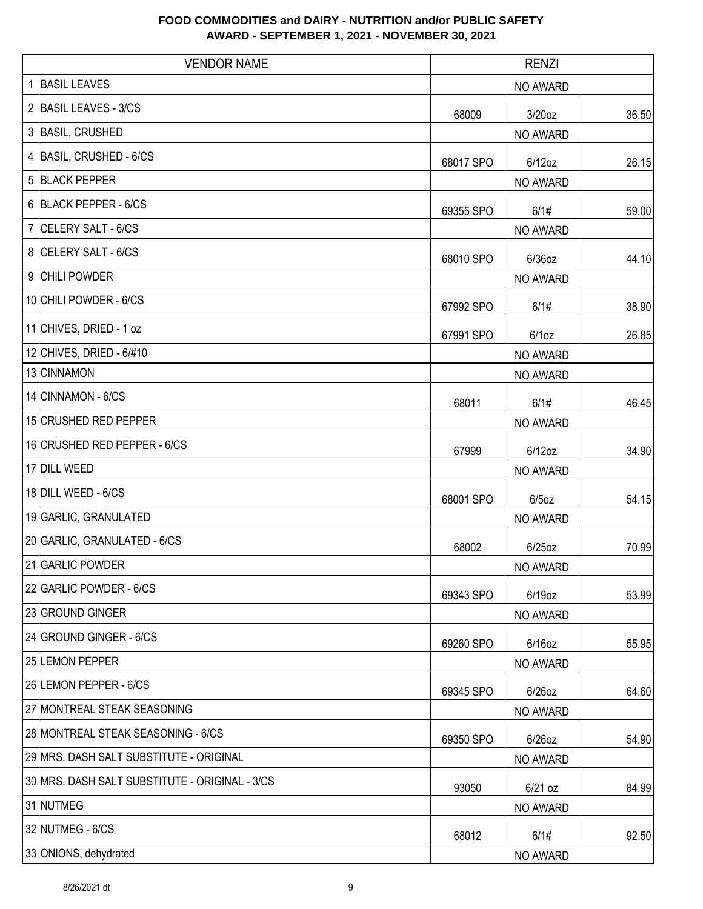| <b>VENDOR NAME</b>                             | <b>RENZI</b>           |       |  |  |
|------------------------------------------------|------------------------|-------|--|--|
| <b>BASIL LEAVES</b><br>1                       | NO AWARD               |       |  |  |
| 2 BASIL LEAVES - 3/CS                          | 68009<br>3/20oz        | 36.50 |  |  |
| 3 BASIL, CRUSHED                               | NO AWARD               |       |  |  |
| 4 BASIL, CRUSHED - 6/CS                        | 68017 SPO<br>$6/12$ oz | 26.15 |  |  |
| <b>BLACK PEPPER</b><br>5                       | NO AWARD               |       |  |  |
| 6 BLACK PEPPER - 6/CS                          | 69355 SPO<br>6/1#      | 59.00 |  |  |
| CELERY SALT - 6/CS<br>7                        | NO AWARD               |       |  |  |
| 8 CELERY SALT - 6/CS                           | 68010 SPO<br>$6/36$ oz | 44.10 |  |  |
| 9 CHILI POWDER                                 | NO AWARD               |       |  |  |
| 10 CHILI POWDER - 6/CS                         | 6/1#<br>67992 SPO      | 38.90 |  |  |
| 11 CHIVES, DRIED - 1 oz                        | 67991 SPO<br>$6/1$ oz  | 26.85 |  |  |
| 12 CHIVES, DRIED - $6/#10$                     | NO AWARD               |       |  |  |
| 13 CINNAMON                                    | NO AWARD               |       |  |  |
| 14 CINNAMON - 6/CS                             | 68011<br>6/1#          | 46.45 |  |  |
| 15 CRUSHED RED PEPPER                          | NO AWARD               |       |  |  |
| 16 CRUSHED RED PEPPER - 6/CS                   | $6/12$ oz<br>67999     | 34.90 |  |  |
| 17 DILL WEED                                   | NO AWARD               |       |  |  |
| 18 DILL WEED - 6/CS                            | 68001 SPO<br>$6/5$ oz  | 54.15 |  |  |
| 19 GARLIC, GRANULATED                          | NO AWARD               |       |  |  |
| 20 GARLIC, GRANULATED - 6/CS                   | 68002<br>$6/25$ oz     | 70.99 |  |  |
| 21 GARLIC POWDER                               | NO AWARD               |       |  |  |
| 22 GARLIC POWDER - 6/CS                        | 6/19oz<br>69343 SPO    | 53.99 |  |  |
| 23 GROUND GINGER                               | NO AWARD               |       |  |  |
| 24 GROUND GINGER - 6/CS                        | 69260 SPO<br>6/16oz    | 55.95 |  |  |
| 25 LEMON PEPPER                                | NO AWARD               |       |  |  |
| 26 LEMON PEPPER - 6/CS                         | 6/26oz<br>69345 SPO    | 64.60 |  |  |
| 27 MONTREAL STEAK SEASONING                    | NO AWARD               |       |  |  |
| 28 MONTREAL STEAK SEASONING - 6/CS             | 6/26oz<br>69350 SPO    | 54.90 |  |  |
| 29 MRS. DASH SALT SUBSTITUTE - ORIGINAL        | NO AWARD               |       |  |  |
| 30 MRS. DASH SALT SUBSTITUTE - ORIGINAL - 3/CS | 93050<br>6/21 oz       | 84.99 |  |  |
| 31 NUTMEG                                      | NO AWARD               |       |  |  |
| 32 NUTMEG - 6/CS                               | 68012<br>6/1#          | 92.50 |  |  |
| 33 ONIONS, dehydrated                          | NO AWARD               |       |  |  |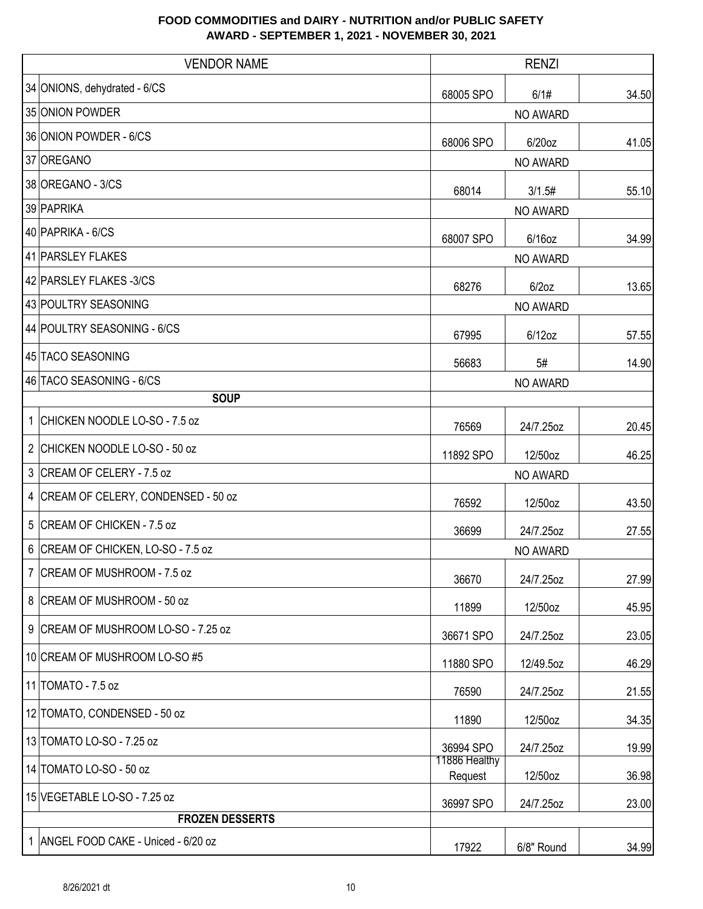| <b>VENDOR NAME</b>                    | <b>RENZI</b>             |                 |       |
|---------------------------------------|--------------------------|-----------------|-------|
| 34 ONIONS, dehydrated - 6/CS          | 68005 SPO                | 6/1#            | 34.50 |
| 35 ONION POWDER                       |                          | NO AWARD        |       |
| 36 ONION POWDER - 6/CS                | 68006 SPO                | 6/20oz          | 41.05 |
| 37 OREGANO                            |                          | NO AWARD        |       |
| 38 OREGANO - 3/CS                     | 68014                    | 3/1.5#          | 55.10 |
| 39 PAPRIKA                            |                          | NO AWARD        |       |
| 40 PAPRIKA - 6/CS                     | 68007 SPO                | 6/16oz          | 34.99 |
| 41 PARSLEY FLAKES                     |                          | NO AWARD        |       |
| 42 PARSLEY FLAKES -3/CS               | 68276                    | $6/2$ oz        | 13.65 |
| 43 POULTRY SEASONING                  |                          | NO AWARD        |       |
| 44 POULTRY SEASONING - 6/CS           | 67995                    | $6/12$ oz       | 57.55 |
| 45 TACO SEASONING                     | 56683                    | 5#              | 14.90 |
| 46 TACO SEASONING - 6/CS              |                          | NO AWARD        |       |
| <b>SOUP</b>                           |                          |                 |       |
| 1 CHICKEN NOODLE LO-SO - 7.5 oz       | 76569                    | 24/7.25oz       | 20.45 |
| 2 CHICKEN NOODLE LO-SO - 50 oz        | 11892 SPO                | 12/50oz         | 46.25 |
| 3 CREAM OF CELERY - 7.5 oz            |                          | <b>NO AWARD</b> |       |
| 4 CREAM OF CELERY, CONDENSED - 50 oz  | 76592                    | 12/50oz         | 43.50 |
| 5 CREAM OF CHICKEN - 7.5 oz           | 36699                    | 24/7.25oz       | 27.55 |
| 6<br>CREAM OF CHICKEN, LO-SO - 7.5 oz |                          | NO AWARD        |       |
| 7 CREAM OF MUSHROOM - 7.5 oz          | 36670                    | 24/7.25oz       | 27.99 |
| 8 CREAM OF MUSHROOM - 50 oz           | 11899                    | 12/50oz         | 45.95 |
| 9 CREAM OF MUSHROOM LO-SO - 7.25 oz   | 36671 SPO                | 24/7.25oz       | 23.05 |
| 10 CREAM OF MUSHROOM LO-SO #5         | 11880 SPO                | 12/49.5oz       | 46.29 |
| 11 TOMATO - 7.5 oz                    | 76590                    | 24/7.25oz       | 21.55 |
| 12 TOMATO, CONDENSED - 50 oz          | 11890                    | 12/50oz         | 34.35 |
| 13 TOMATO LO-SO - 7.25 oz             | 36994 SPO                | 24/7.25oz       | 19.99 |
| 14 TOMATO LO-SO - 50 oz               | 11886 Healthy<br>Request | 12/50oz         | 36.98 |
| 15 VEGETABLE LO-SO - 7.25 oz          | 36997 SPO                | 24/7.25oz       | 23.00 |
| <b>FROZEN DESSERTS</b>                |                          |                 |       |
| 1 ANGEL FOOD CAKE - Uniced - 6/20 oz  | 17922                    | 6/8" Round      | 34.99 |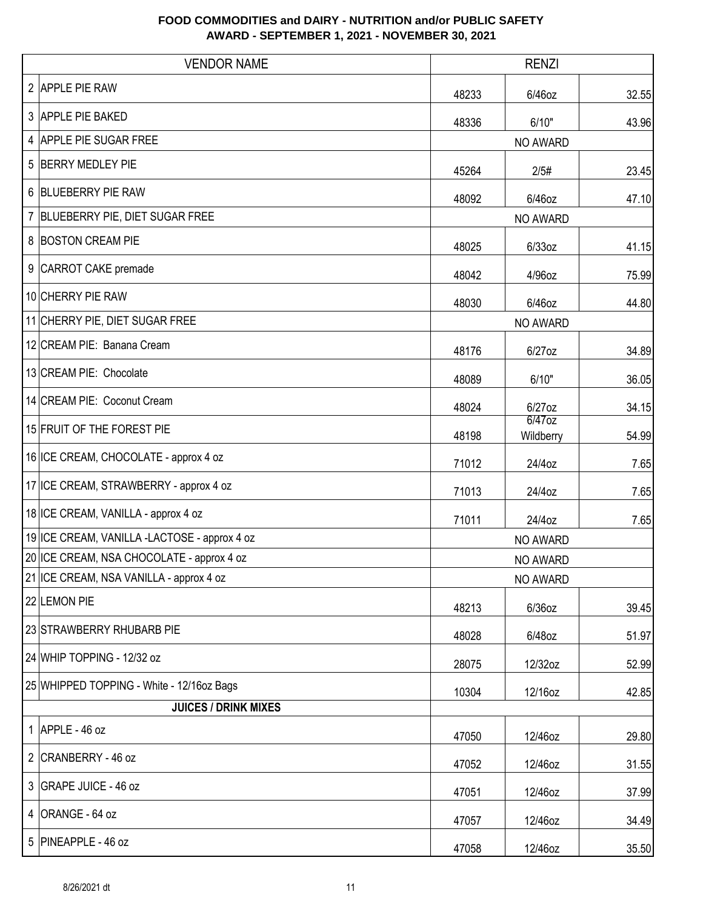| <b>VENDOR NAME</b>                           | <b>RENZI</b> |                        |       |
|----------------------------------------------|--------------|------------------------|-------|
| 2 APPLE PIE RAW                              | 48233        | 6/46oz                 | 32.55 |
| 3 APPLE PIE BAKED                            | 48336        | 6/10"                  | 43.96 |
| 4 APPLE PIE SUGAR FREE                       |              | NO AWARD               |       |
| 5 BERRY MEDLEY PIE                           | 45264        | 2/5#                   | 23.45 |
| 6 BLUEBERRY PIE RAW                          | 48092        | 6/46oz                 | 47.10 |
| 7 BLUEBERRY PIE, DIET SUGAR FREE             |              | NO AWARD               |       |
| 8 BOSTON CREAM PIE                           | 48025        | $6/33$ oz              | 41.15 |
| 9 CARROT CAKE premade                        | 48042        | 4/96oz                 | 75.99 |
| 10 CHERRY PIE RAW                            | 48030        | 6/46oz                 | 44.80 |
| 11 CHERRY PIE, DIET SUGAR FREE               |              | NO AWARD               |       |
| 12 CREAM PIE: Banana Cream                   | 48176        | 6/27oz                 | 34.89 |
| 13 CREAM PIE: Chocolate                      | 48089        | 6/10"                  | 36.05 |
| 14 CREAM PIE: Coconut Cream                  | 48024        | 6/27oz                 | 34.15 |
| 15 FRUIT OF THE FOREST PIE                   | 48198        | $6/47$ oz<br>Wildberry | 54.99 |
| 16 ICE CREAM, CHOCOLATE - approx 4 oz        | 71012        | 24/4oz                 | 7.65  |
| 17 ICE CREAM, STRAWBERRY - approx 4 oz       | 71013        | 24/4oz                 | 7.65  |
| 18 ICE CREAM, VANILLA - approx 4 oz          | 71011        | 24/4oz                 | 7.65  |
| 19 ICE CREAM, VANILLA -LACTOSE - approx 4 oz |              | NO AWARD               |       |
| 20 ICE CREAM, NSA CHOCOLATE - approx 4 oz    |              | NO AWARD               |       |
| 21 ICE CREAM, NSA VANILLA - approx 4 oz      |              | NO AWARD               |       |
| 22 LEMON PIE                                 | 48213        | 6/36oz                 | 39.45 |
| 23 STRAWBERRY RHUBARB PIE                    | 48028        | 6/48oz                 | 51.97 |
| 24 WHIP TOPPING - 12/32 oz                   | 28075        | 12/32oz                | 52.99 |
| 25 WHIPPED TOPPING - White - 12/16oz Bags    | 10304        | 12/16oz                | 42.85 |
| <b>JUICES / DRINK MIXES</b>                  |              |                        |       |
| $1$ APPLE - 46 oz                            | 47050        | 12/46oz                | 29.80 |
| 2 CRANBERRY - 46 oz                          | 47052        | 12/46oz                | 31.55 |
| 3 GRAPE JUICE - 46 oz                        | 47051        | 12/46oz                | 37.99 |
| 4 ORANGE - 64 oz                             | 47057        | 12/46oz                | 34.49 |
| 5 PINEAPPLE - 46 oz                          | 47058        | 12/46oz                | 35.50 |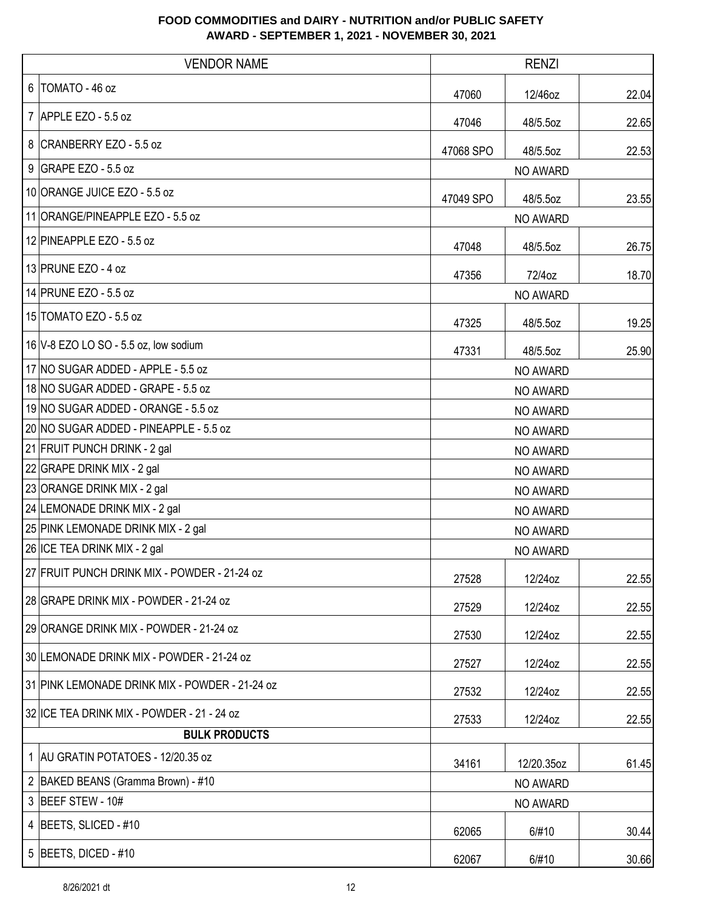| <b>VENDOR NAME</b>                             | <b>RENZI</b> |            |       |
|------------------------------------------------|--------------|------------|-------|
| 6   TOMATO - 46 oz                             | 47060        | 12/46oz    | 22.04 |
| 7 APPLE EZO - 5.5 oz                           | 47046        | 48/5.5oz   | 22.65 |
| 8 CRANBERRY EZO - 5.5 oz                       | 47068 SPO    | 48/5.5oz   | 22.53 |
| $9$ GRAPE EZO - 5.5 oz                         |              | NO AWARD   |       |
| 10 ORANGE JUICE EZO - 5.5 oz                   | 47049 SPO    | 48/5.5oz   | 23.55 |
| 11 ORANGE/PINEAPPLE EZO - 5.5 oz               |              | NO AWARD   |       |
| 12 PINEAPPLE EZO - 5.5 oz                      | 47048        | 48/5.5oz   | 26.75 |
| 13 PRUNE EZO - 4 oz                            | 47356        | 72/4oz     | 18.70 |
| 14 PRUNE EZO - 5.5 oz                          |              | NO AWARD   |       |
| 15 TOMATO EZO - 5.5 oz                         | 47325        | 48/5.5oz   | 19.25 |
| 16 V-8 EZO LO SO - 5.5 oz, low sodium          | 47331        | 48/5.5oz   | 25.90 |
| 17 NO SUGAR ADDED - APPLE - 5.5 oz             | NO AWARD     |            |       |
| 18 NO SUGAR ADDED - GRAPE - 5.5 oz             | NO AWARD     |            |       |
| 19 NO SUGAR ADDED - ORANGE - 5.5 oz            | NO AWARD     |            |       |
| 20 NO SUGAR ADDED - PINEAPPLE - 5.5 oz         | NO AWARD     |            |       |
| 21 FRUIT PUNCH DRINK - 2 gal                   | NO AWARD     |            |       |
| 22 GRAPE DRINK MIX - 2 gal                     | NO AWARD     |            |       |
| 23 ORANGE DRINK MIX - 2 gal                    | NO AWARD     |            |       |
| 24 LEMONADE DRINK MIX - 2 gal                  | NO AWARD     |            |       |
| 25 PINK LEMONADE DRINK MIX - 2 gal             | NO AWARD     |            |       |
| 26 ICE TEA DRINK MIX - 2 gal                   |              | NO AWARD   |       |
| 27 FRUIT PUNCH DRINK MIX - POWDER - 21-24 oz   | 27528        | 12/24oz    | 22.55 |
| 28 GRAPE DRINK MIX - POWDER - 21-24 oz         | 27529        | 12/24oz    | 22.55 |
| 29 ORANGE DRINK MIX - POWDER - 21-24 oz        | 27530        | 12/24oz    | 22.55 |
| 30 LEMONADE DRINK MIX - POWDER - 21-24 oz      | 27527        | 12/24oz    | 22.55 |
| 31 PINK LEMONADE DRINK MIX - POWDER - 21-24 oz | 27532        | 12/24oz    | 22.55 |
| 32 ICE TEA DRINK MIX - POWDER - 21 - 24 oz     | 27533        | 12/24oz    | 22.55 |
| <b>BULK PRODUCTS</b>                           |              |            |       |
| 1 AU GRATIN POTATOES - 12/20.35 oz             | 34161        | 12/20.35oz | 61.45 |
| 2 BAKED BEANS (Gramma Brown) - #10             | NO AWARD     |            |       |
| 3 BEEF STEW - 10#                              |              | NO AWARD   |       |
| 4 BEETS, SLICED - #10                          | 62065        | 6/#10      | 30.44 |
| 5   BEETS, DICED - $#10$                       | 62067        | 6/#10      | 30.66 |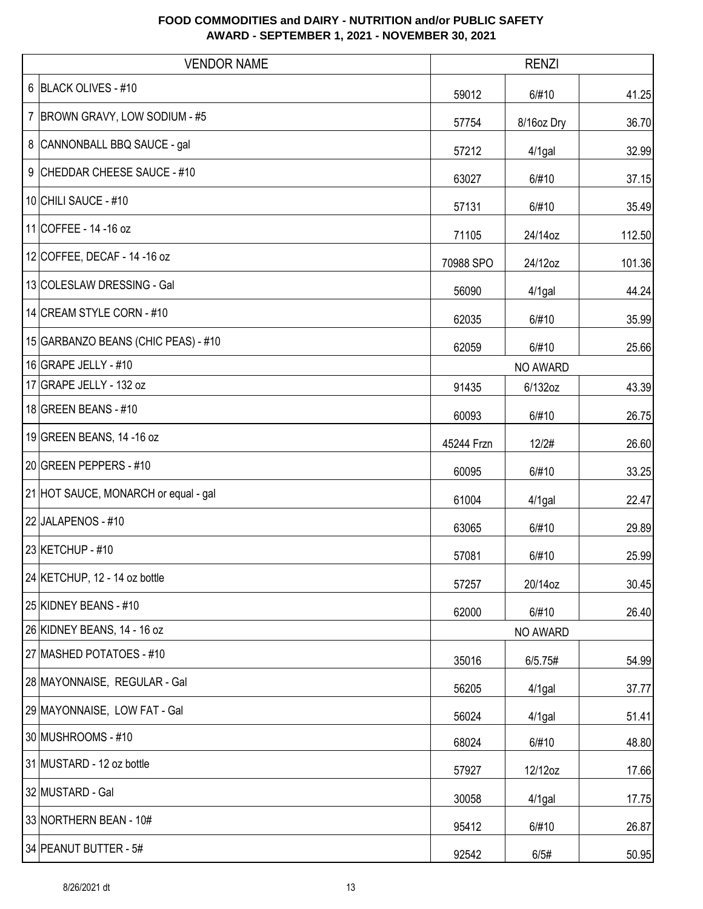| <b>VENDOR NAME</b>                   |            | <b>RENZI</b> |        |
|--------------------------------------|------------|--------------|--------|
| 6 BLACK OLIVES - #10                 | 59012      | 6/#10        | 41.25  |
| 7 BROWN GRAVY, LOW SODIUM - #5       | 57754      | 8/16oz Dry   | 36.70  |
| 8 CANNONBALL BBQ SAUCE - gal         | 57212      | $4/1$ gal    | 32.99  |
| 9 CHEDDAR CHEESE SAUCE - #10         | 63027      | 6/#10        | 37.15  |
| 10 CHILI SAUCE - #10                 | 57131      | 6/#10        | 35.49  |
| 11 COFFEE - 14 - 16 oz               | 71105      | 24/14oz      | 112.50 |
| 12 COFFEE, DECAF - 14 - 16 oz        | 70988 SPO  | 24/12oz      | 101.36 |
| 13 COLESLAW DRESSING - Gal           | 56090      | $4/1$ gal    | 44.24  |
| 14 CREAM STYLE CORN - #10            | 62035      | 6/#10        | 35.99  |
| 15 GARBANZO BEANS (CHIC PEAS) - #10  | 62059      | 6/#10        | 25.66  |
| 16 GRAPE JELLY - #10                 |            | NO AWARD     |        |
| 17 GRAPE JELLY - 132 oz              | 91435      | 6/132oz      | 43.39  |
| 18 GREEN BEANS - #10                 | 60093      | 6/#10        | 26.75  |
| 19 GREEN BEANS, 14 -16 oz            | 45244 Frzn | 12/2#        | 26.60  |
| 20 GREEN PEPPERS - #10               | 60095      | 6/#10        | 33.25  |
| 21 HOT SAUCE, MONARCH or equal - gal | 61004      | 4/1gal       | 22.47  |
| 22 JALAPENOS - #10                   | 63065      | 6/#10        | 29.89  |
| 23 KETCHUP - #10                     | 57081      | 6/#10        | 25.99  |
| 24 KETCHUP, 12 - 14 oz bottle        | 57257      | 20/14oz      | 30.45  |
| 25 KIDNEY BEANS - #10                | 62000      | 6/#10        | 26.40  |
| 26 KIDNEY BEANS, 14 - 16 oz          |            | NO AWARD     |        |
| 27 MASHED POTATOES - #10             | 35016      | 6/5.75#      | 54.99  |
| 28 MAYONNAISE, REGULAR - Gal         | 56205      | $4/1$ gal    | 37.77  |
| 29 MAYONNAISE, LOW FAT - Gal         | 56024      | $4/1$ gal    | 51.41  |
| 30 MUSHROOMS - #10                   | 68024      | 6/#10        | 48.80  |
| 31 MUSTARD - 12 oz bottle            | 57927      | 12/12oz      | 17.66  |
| 32 MUSTARD - Gal                     | 30058      | 4/1gal       | 17.75  |
| 33 NORTHERN BEAN - 10#               | 95412      | 6/#10        | 26.87  |
| 34 PEANUT BUTTER - 5#                | 92542      | 6/5#         | 50.95  |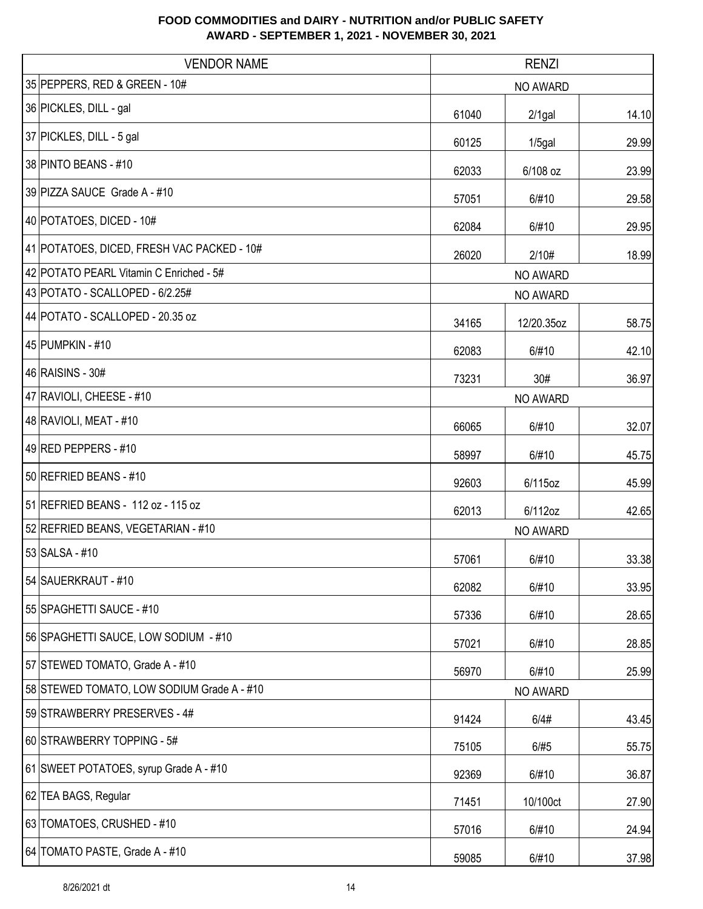| <b>VENDOR NAME</b>                         |          | <b>RENZI</b> |       |
|--------------------------------------------|----------|--------------|-------|
| 35 PEPPERS, RED & GREEN - 10#              | NO AWARD |              |       |
| 36 PICKLES, DILL - gal                     | 61040    | $2/1$ gal    | 14.10 |
| 37 PICKLES, DILL - 5 gal                   | 60125    | $1/5$ gal    | 29.99 |
| 38 PINTO BEANS - #10                       | 62033    | 6/108 oz     | 23.99 |
| 39 PIZZA SAUCE Grade A - #10               | 57051    | 6/#10        | 29.58 |
| 40 POTATOES, DICED - 10#                   | 62084    | 6/#10        | 29.95 |
| 41 POTATOES, DICED, FRESH VAC PACKED - 10# | 26020    | 2/10#        | 18.99 |
| 42 POTATO PEARL Vitamin C Enriched - 5#    |          | NO AWARD     |       |
| 43 POTATO - SCALLOPED - 6/2.25#            |          | NO AWARD     |       |
| 44 POTATO - SCALLOPED - 20.35 oz           | 34165    | 12/20.35oz   | 58.75 |
| 45 PUMPKIN - #10                           | 62083    | 6/#10        | 42.10 |
| 46 RAISINS - 30#                           | 73231    | 30#          | 36.97 |
| 47 RAVIOLI, CHEESE - #10                   | NO AWARD |              |       |
| 48 RAVIOLI, MEAT - #10                     | 66065    | 6/#10        | 32.07 |
| 49 RED PEPPERS - #10                       | 58997    | 6/#10        | 45.75 |
| 50 REFRIED BEANS - #10                     | 92603    | 6/115oz      | 45.99 |
| 51 REFRIED BEANS - 112 oz - 115 oz         | 62013    | 6/112oz      | 42.65 |
| 52 REFRIED BEANS, VEGETARIAN - #10         |          | NO AWARD     |       |
| 53 SALSA - #10                             | 57061    | 6/#10        | 33.38 |
| 54 SAUERKRAUT - #10                        | 62082    | 6/#10        | 33.95 |
| 55 SPAGHETTI SAUCE - #10                   | 57336    | 6/#10        | 28.65 |
| 56 SPAGHETTI SAUCE, LOW SODIUM - #10       | 57021    | 6/#10        | 28.85 |
| 57 STEWED TOMATO, Grade A - #10            | 56970    | 6/#10        | 25.99 |
| 58 STEWED TOMATO, LOW SODIUM Grade A - #10 |          | NO AWARD     |       |
| 59 STRAWBERRY PRESERVES - 4#               | 91424    | 6/4#         | 43.45 |
| 60 STRAWBERRY TOPPING - 5#                 | 75105    | 6/#5         | 55.75 |
| 61 SWEET POTATOES, syrup Grade A - #10     | 92369    | 6/#10        | 36.87 |
| 62 TEA BAGS, Regular                       | 71451    | 10/100ct     | 27.90 |
| 63 TOMATOES, CRUSHED - #10                 | 57016    | 6/#10        | 24.94 |
| 64 TOMATO PASTE, Grade A - #10             | 59085    | 6/#10        | 37.98 |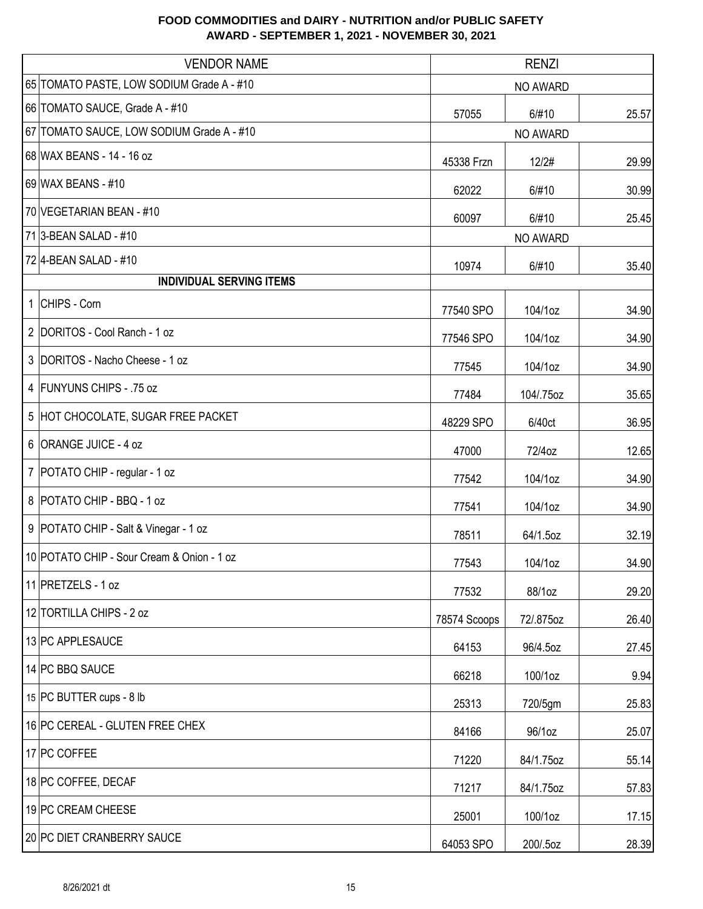| <b>VENDOR NAME</b>                         |              | <b>RENZI</b> |       |
|--------------------------------------------|--------------|--------------|-------|
| 65 TOMATO PASTE, LOW SODIUM Grade A - #10  | NO AWARD     |              |       |
| 66 TOMATO SAUCE, Grade A - #10             | 57055        | 6/#10        | 25.57 |
| 67 TOMATO SAUCE, LOW SODIUM Grade A - #10  |              | NO AWARD     |       |
| 68 WAX BEANS - 14 - 16 oz                  | 45338 Frzn   | 12/2#        | 29.99 |
| 69 WAX BEANS - #10                         | 62022        | 6/#10        | 30.99 |
| 70 VEGETARIAN BEAN - #10                   | 60097        | 6/#10        | 25.45 |
| 71 3-BEAN SALAD - #10                      |              | NO AWARD     |       |
| 72 4-BEAN SALAD - #10                      | 10974        | 6/#10        | 35.40 |
| <b>INDIVIDUAL SERVING ITEMS</b>            |              |              |       |
| 1 CHIPS - Corn                             | 77540 SPO    | 104/1oz      | 34.90 |
| 2 DORITOS - Cool Ranch - 1 oz              | 77546 SPO    | 104/1oz      | 34.90 |
| 3 DORITOS - Nacho Cheese - 1 oz            | 77545        | 104/1oz      | 34.90 |
| 4   FUNYUNS CHIPS - .75 oz                 | 77484        | 104/.75oz    | 35.65 |
| 5 HOT CHOCOLATE, SUGAR FREE PACKET         | 48229 SPO    | 6/40ct       | 36.95 |
| 6 ORANGE JUICE - 4 oz                      | 47000        | 72/4oz       | 12.65 |
| 7   POTATO CHIP - regular - 1 oz           | 77542        | 104/1oz      | 34.90 |
| 8 POTATO CHIP - BBQ - 1 oz                 | 77541        | 104/1oz      | 34.90 |
| 9   POTATO CHIP - Salt & Vinegar - 1 oz    | 78511        | 64/1.5oz     | 32.19 |
| 10 POTATO CHIP - Sour Cream & Onion - 1 oz | 77543        | 104/1oz      | 34.90 |
| 11 PRETZELS - 1 oz                         | 77532        | 88/1oz       | 29.20 |
| 12 TORTILLA CHIPS - 2 oz                   | 78574 Scoops | 72/.875oz    | 26.40 |
| 13 PC APPLESAUCE                           | 64153        | 96/4.5oz     | 27.45 |
| 14 PC BBQ SAUCE                            | 66218        | 100/1oz      | 9.94  |
| 15 PC BUTTER cups - 8 lb                   | 25313        | 720/5gm      | 25.83 |
| 16 PC CEREAL - GLUTEN FREE CHEX            | 84166        | 96/1oz       | 25.07 |
| 17 PC COFFEE                               | 71220        | 84/1.75oz    | 55.14 |
| 18 PC COFFEE, DECAF                        | 71217        | 84/1.75oz    | 57.83 |
| 19 PC CREAM CHEESE                         | 25001        | 100/1oz      | 17.15 |
| 20 PC DIET CRANBERRY SAUCE                 | 64053 SPO    | 200/.5oz     | 28.39 |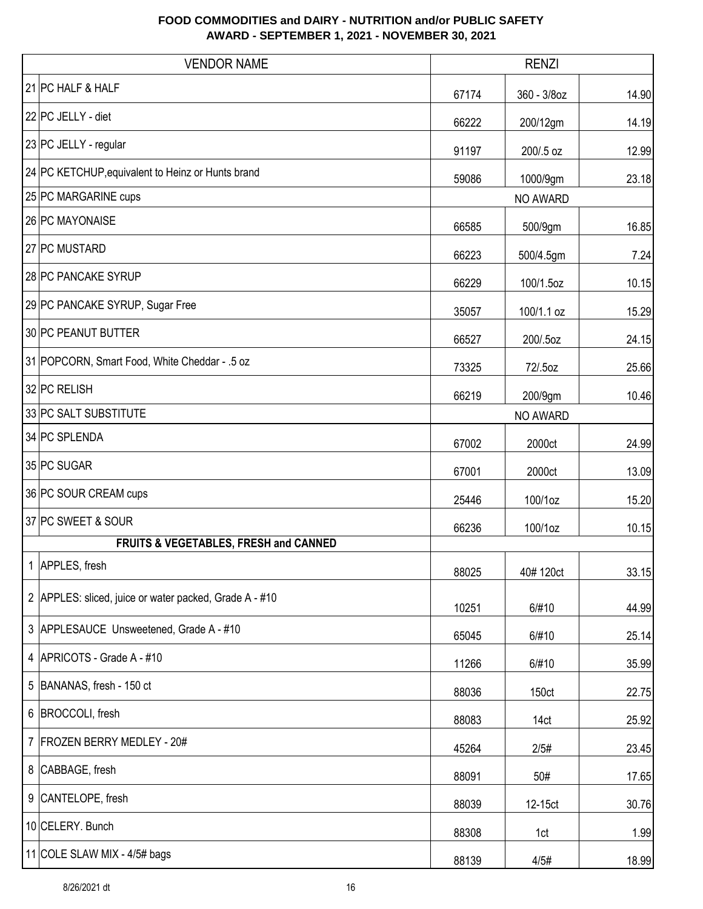| <b>VENDOR NAME</b>                                     |          | <b>RENZI</b> |       |
|--------------------------------------------------------|----------|--------------|-------|
| 21 PC HALF & HALF                                      | 67174    | 360 - 3/8oz  | 14.90 |
| 22 PC JELLY - diet                                     | 66222    | 200/12gm     | 14.19 |
| 23 PC JELLY - regular                                  | 91197    | 200/.5 oz    | 12.99 |
| 24 PC KETCHUP, equivalent to Heinz or Hunts brand      | 59086    | 1000/9gm     | 23.18 |
| 25 PC MARGARINE cups                                   |          | NO AWARD     |       |
| 26 PC MAYONAISE                                        | 66585    | 500/9gm      | 16.85 |
| 27 PC MUSTARD                                          | 66223    | 500/4.5gm    | 7.24  |
| 28 PC PANCAKE SYRUP                                    | 66229    | 100/1.5oz    | 10.15 |
| 29 PC PANCAKE SYRUP, Sugar Free                        | 35057    | 100/1.1 oz   | 15.29 |
| 30 PC PEANUT BUTTER                                    | 66527    | 200/.5oz     | 24.15 |
| 31 POPCORN, Smart Food, White Cheddar - .5 oz          | 73325    | 72/.5oz      | 25.66 |
| 32 PC RELISH                                           | 66219    | 200/9gm      | 10.46 |
| 33 PC SALT SUBSTITUTE                                  | NO AWARD |              |       |
| 34 PC SPLENDA                                          | 67002    | 2000ct       | 24.99 |
| 35 PC SUGAR                                            | 67001    | 2000ct       | 13.09 |
| 36 PC SOUR CREAM cups                                  | 25446    | 100/1oz      | 15.20 |
| 37 PC SWEET & SOUR                                     | 66236    | 100/1oz      | 10.15 |
| FRUITS & VEGETABLES, FRESH and CANNED                  |          |              |       |
| $\mathbf{1}$<br>APPLES, fresh                          | 88025    | 40# 120ct    | 33.15 |
| 2 APPLES: sliced, juice or water packed, Grade A - #10 | 10251    | 6/#10        | 44.99 |
| 3 APPLESAUCE Unsweetened, Grade A - #10                | 65045    | 6/#10        | 25.14 |
| 4   APRICOTS - Grade A - #10                           | 11266    | 6/#10        | 35.99 |
| 5 BANANAS, fresh - 150 ct                              | 88036    | 150ct        | 22.75 |
| 6   BROCCOLI, fresh                                    | 88083    | 14ct         | 25.92 |
| 7   FROZEN BERRY MEDLEY - 20#                          | 45264    | 2/5#         | 23.45 |
| 8 CABBAGE, fresh                                       | 88091    | 50#          | 17.65 |
| 9<br>CANTELOPE, fresh                                  | 88039    | 12-15ct      | 30.76 |
| 10 CELERY. Bunch                                       | 88308    | 1ct          | 1.99  |
| 11 COLE SLAW MIX - 4/5# bags                           | 88139    | 4/5#         | 18.99 |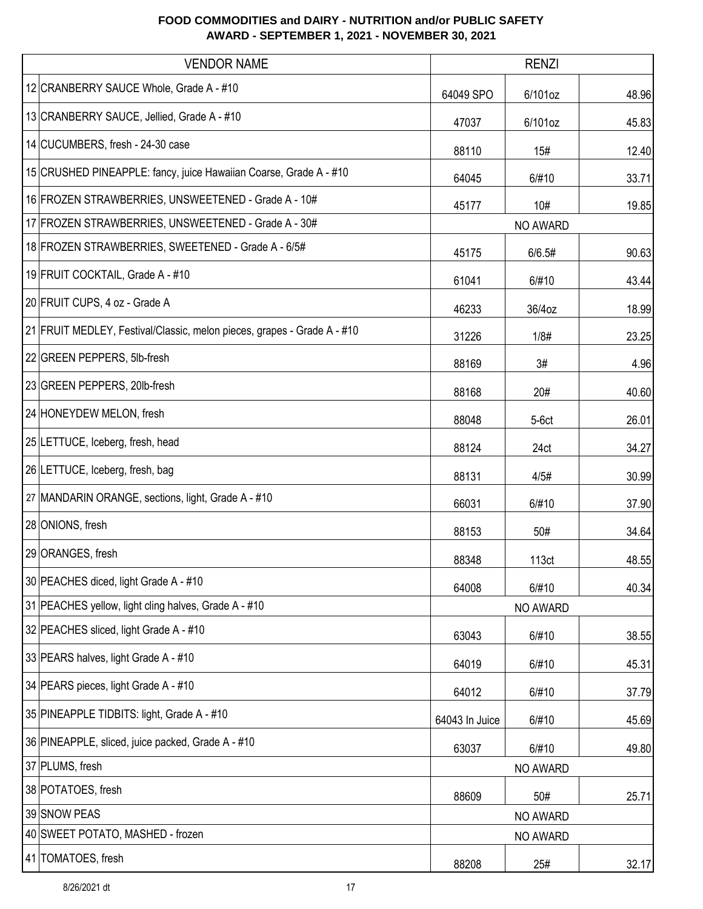| <b>VENDOR NAME</b>                                                      |                | <b>RENZI</b> |       |
|-------------------------------------------------------------------------|----------------|--------------|-------|
| 12 CRANBERRY SAUCE Whole, Grade A - #10                                 | 64049 SPO      | 6/101oz      | 48.96 |
| 13 CRANBERRY SAUCE, Jellied, Grade A - #10                              | 47037          | 6/101oz      | 45.83 |
| 14 CUCUMBERS, fresh - 24-30 case                                        | 88110          | 15#          | 12.40 |
| 15 CRUSHED PINEAPPLE: fancy, juice Hawaiian Coarse, Grade A - #10       | 64045          | 6/#10        | 33.71 |
| 16 FROZEN STRAWBERRIES, UNSWEETENED - Grade A - 10#                     | 45177          | 10#          | 19.85 |
| 17 FROZEN STRAWBERRIES, UNSWEETENED - Grade A - 30#                     |                | NO AWARD     |       |
| 18 FROZEN STRAWBERRIES, SWEETENED - Grade A - 6/5#                      | 45175          | 6/6.5#       | 90.63 |
| 19 FRUIT COCKTAIL, Grade A - #10                                        | 61041          | 6/#10        | 43.44 |
| 20 FRUIT CUPS, 4 oz - Grade A                                           | 46233          | 36/4oz       | 18.99 |
| 21 FRUIT MEDLEY, Festival/Classic, melon pieces, grapes - Grade A - #10 | 31226          | 1/8#         | 23.25 |
| 22 GREEN PEPPERS, 5lb-fresh                                             | 88169          | 3#           | 4.96  |
| 23 GREEN PEPPERS, 20lb-fresh                                            | 88168          | 20#          | 40.60 |
| 24 HONEYDEW MELON, fresh                                                | 88048          | $5-6ct$      | 26.01 |
| 25 LETTUCE, Iceberg, fresh, head                                        | 88124          | 24ct         | 34.27 |
| 26 LETTUCE, Iceberg, fresh, bag                                         | 88131          | 4/5#         | 30.99 |
| 27 MANDARIN ORANGE, sections, light, Grade A - #10                      | 66031          | 6/#10        | 37.90 |
| 28 ONIONS, fresh                                                        | 88153          | 50#          | 34.64 |
| 29 ORANGES, fresh                                                       | 88348          | 113ct        | 48.55 |
| 30 PEACHES diced, light Grade A - #10                                   | 64008          | 6/#10        | 40.34 |
| 31 PEACHES yellow, light cling halves, Grade A - #10                    |                | NO AWARD     |       |
| 32 PEACHES sliced, light Grade A - #10                                  | 63043          | 6/#10        | 38.55 |
| 33 PEARS halves, light Grade A - #10                                    | 64019          | 6/#10        | 45.31 |
| 34 PEARS pieces, light Grade A - #10                                    | 64012          | 6/#10        | 37.79 |
| 35 PINEAPPLE TIDBITS: light, Grade A - #10                              | 64043 In Juice | 6/#10        | 45.69 |
| 36 PINEAPPLE, sliced, juice packed, Grade A - #10                       | 63037          | 6/#10        | 49.80 |
| 37 PLUMS, fresh                                                         |                | NO AWARD     |       |
| 38 POTATOES, fresh                                                      | 88609          | 50#          | 25.71 |
| 39 SNOW PEAS                                                            |                | NO AWARD     |       |
| 40 SWEET POTATO, MASHED - frozen                                        |                | NO AWARD     |       |
| 41 TOMATOES, fresh                                                      | 88208          | 25#          | 32.17 |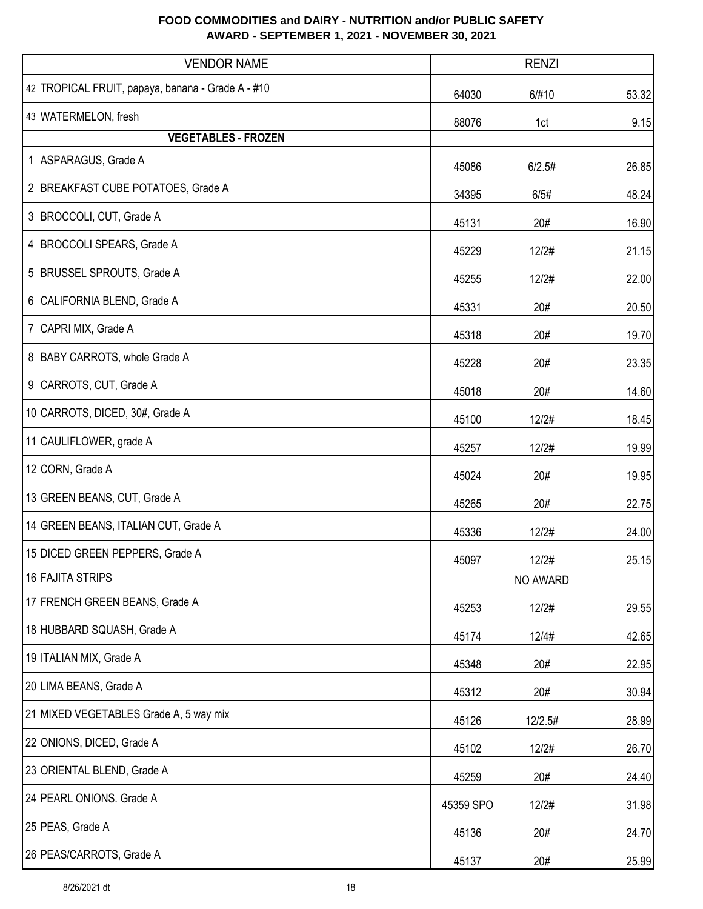| <b>VENDOR NAME</b>                                |           | <b>RENZI</b> |       |
|---------------------------------------------------|-----------|--------------|-------|
| 42 TROPICAL FRUIT, papaya, banana - Grade A - #10 | 64030     | 6/#10        | 53.32 |
| 43 WATERMELON, fresh                              | 88076     | 1ct          | 9.15  |
| <b>VEGETABLES - FROZEN</b>                        |           |              |       |
| 1 ASPARAGUS, Grade A                              | 45086     | 6/2.5#       | 26.85 |
| 2 BREAKFAST CUBE POTATOES, Grade A                | 34395     | 6/5#         | 48.24 |
| 3 BROCCOLI, CUT, Grade A                          | 45131     | 20#          | 16.90 |
| 4 BROCCOLI SPEARS, Grade A                        | 45229     | 12/2#        | 21.15 |
| 5 BRUSSEL SPROUTS, Grade A                        | 45255     | 12/2#        | 22.00 |
| 6 CALIFORNIA BLEND, Grade A                       | 45331     | 20#          | 20.50 |
| 7 CAPRI MIX, Grade A                              | 45318     | 20#          | 19.70 |
| 8 BABY CARROTS, whole Grade A                     | 45228     | 20#          | 23.35 |
| 9 CARROTS, CUT, Grade A                           | 45018     | 20#          | 14.60 |
| 10 CARROTS, DICED, 30#, Grade A                   | 45100     | 12/2#        | 18.45 |
| 11 CAULIFLOWER, grade A                           | 45257     | 12/2#        | 19.99 |
| 12 CORN, Grade A                                  | 45024     | 20#          | 19.95 |
| 13 GREEN BEANS, CUT, Grade A                      | 45265     | 20#          | 22.75 |
| 14 GREEN BEANS, ITALIAN CUT, Grade A              | 45336     | 12/2#        | 24.00 |
| 15 DICED GREEN PEPPERS, Grade A                   | 45097     | 12/2#        | 25.15 |
| 16 FAJITA STRIPS                                  |           | NO AWARD     |       |
| 17 FRENCH GREEN BEANS, Grade A                    | 45253     | 12/2#        | 29.55 |
| 18 HUBBARD SQUASH, Grade A                        | 45174     | 12/4#        | 42.65 |
| 19 ITALIAN MIX, Grade A                           | 45348     | 20#          | 22.95 |
| 20 LIMA BEANS, Grade A                            | 45312     | 20#          | 30.94 |
| 21 MIXED VEGETABLES Grade A, 5 way mix            | 45126     | 12/2.5#      | 28.99 |
| 22 ONIONS, DICED, Grade A                         | 45102     | 12/2#        | 26.70 |
| 23 ORIENTAL BLEND, Grade A                        | 45259     | 20#          | 24.40 |
| 24 PEARL ONIONS. Grade A                          | 45359 SPO | 12/2#        | 31.98 |
| 25 PEAS, Grade A                                  | 45136     | 20#          | 24.70 |
| 26 PEAS/CARROTS, Grade A                          | 45137     | 20#          | 25.99 |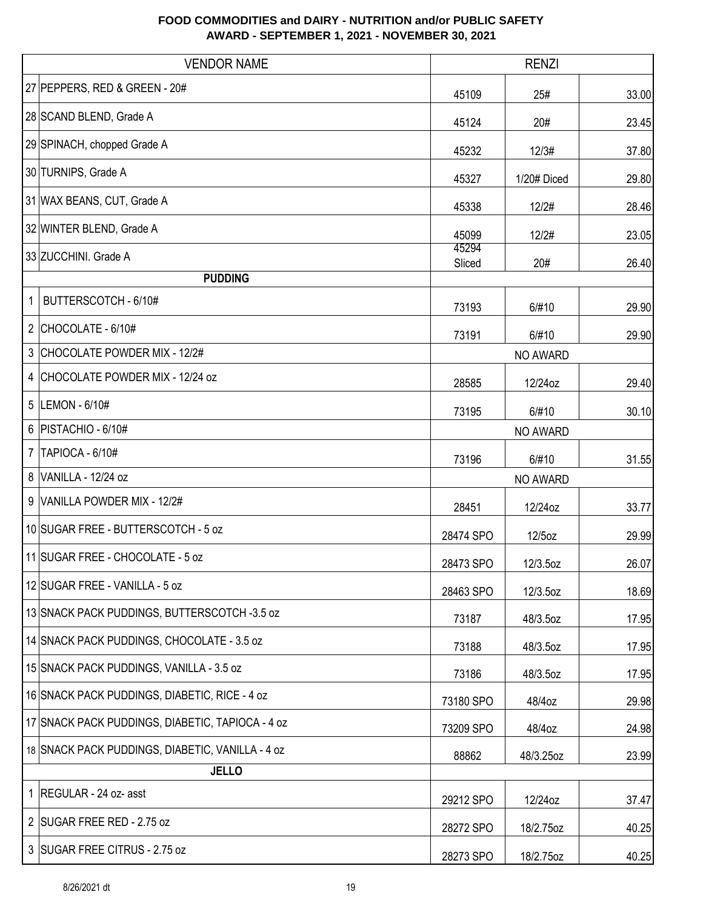|                                                  | <b>VENDOR NAME</b> |                 | <b>RENZI</b> |       |
|--------------------------------------------------|--------------------|-----------------|--------------|-------|
| 27 PEPPERS, RED & GREEN - 20#                    |                    | 45109           | 25#          | 33.00 |
| 28 SCAND BLEND, Grade A                          |                    | 45124           | 20#          | 23.45 |
| 29 SPINACH, chopped Grade A                      |                    | 45232           | 12/3#        | 37.80 |
| 30 TURNIPS, Grade A                              |                    | 45327           | 1/20# Diced  | 29.80 |
| 31 WAX BEANS, CUT, Grade A                       |                    | 45338           | 12/2#        | 28.46 |
| 32 WINTER BLEND, Grade A                         |                    | 45099           | 12/2#        | 23.05 |
| 33 ZUCCHINI. Grade A                             |                    | 45294<br>Sliced | 20#          | 26.40 |
|                                                  | <b>PUDDING</b>     |                 |              |       |
| $\mathbf{1}$<br>BUTTERSCOTCH - 6/10#             |                    | 73193           | 6/#10        | 29.90 |
| 2 CHOCOLATE - $6/10#$                            |                    | 73191           | 6/#10        | 29.90 |
| $\mathfrak{Z}$<br>CHOCOLATE POWDER MIX - 12/2#   |                    |                 | NO AWARD     |       |
| CHOCOLATE POWDER MIX - 12/24 oz<br>4             |                    | 28585           | 12/24oz      | 29.40 |
| 5  LEMON - 6/10#                                 |                    | 73195           | 6/#10        | 30.10 |
| 6   PISTACHIO - 6/10#                            |                    |                 | NO AWARD     |       |
| TAPIOCA - 6/10#<br>$\overline{7}$                |                    | 73196           | 6/#10        | 31.55 |
| 8 VANILLA - 12/24 oz                             |                    |                 | NO AWARD     |       |
| 9<br>VANILLA POWDER MIX - 12/2#                  |                    | 28451           | 12/24oz      | 33.77 |
| 10 SUGAR FREE - BUTTERSCOTCH - 5 oz              |                    | 28474 SPO       | 12/5oz       | 29.99 |
| 11 SUGAR FREE - CHOCOLATE - 5 oz                 |                    | 28473 SPO       | 12/3.5oz     | 26.07 |
| 12 SUGAR FREE - VANILLA - 5 oz                   |                    | 28463 SPO       | 12/3.5oz     | 18.69 |
| 13 SNACK PACK PUDDINGS, BUTTERSCOTCH -3.5 oz     |                    | 73187           | 48/3.5oz     | 17.95 |
| 14 SNACK PACK PUDDINGS, CHOCOLATE - 3.5 oz       |                    | 73188           | 48/3.5oz     | 17.95 |
| 15 SNACK PACK PUDDINGS, VANILLA - 3.5 oz         |                    | 73186           | 48/3.5oz     | 17.95 |
| 16 SNACK PACK PUDDINGS, DIABETIC, RICE - 4 oz    |                    | 73180 SPO       | 48/4oz       | 29.98 |
| 17 SNACK PACK PUDDINGS, DIABETIC, TAPIOCA - 4 oz |                    | 73209 SPO       | 48/4oz       | 24.98 |
| 18 SNACK PACK PUDDINGS, DIABETIC, VANILLA - 4 oz |                    | 88862           | 48/3.25oz    | 23.99 |
|                                                  | <b>JELLO</b>       |                 |              |       |
| 1  REGULAR - 24 oz- asst                         |                    | 29212 SPO       | 12/24oz      | 37.47 |
| 2 SUGAR FREE RED - 2.75 oz                       |                    | 28272 SPO       | 18/2.75oz    | 40.25 |
| 3 SUGAR FREE CITRUS - 2.75 oz                    |                    | 28273 SPO       | 18/2.75oz    | 40.25 |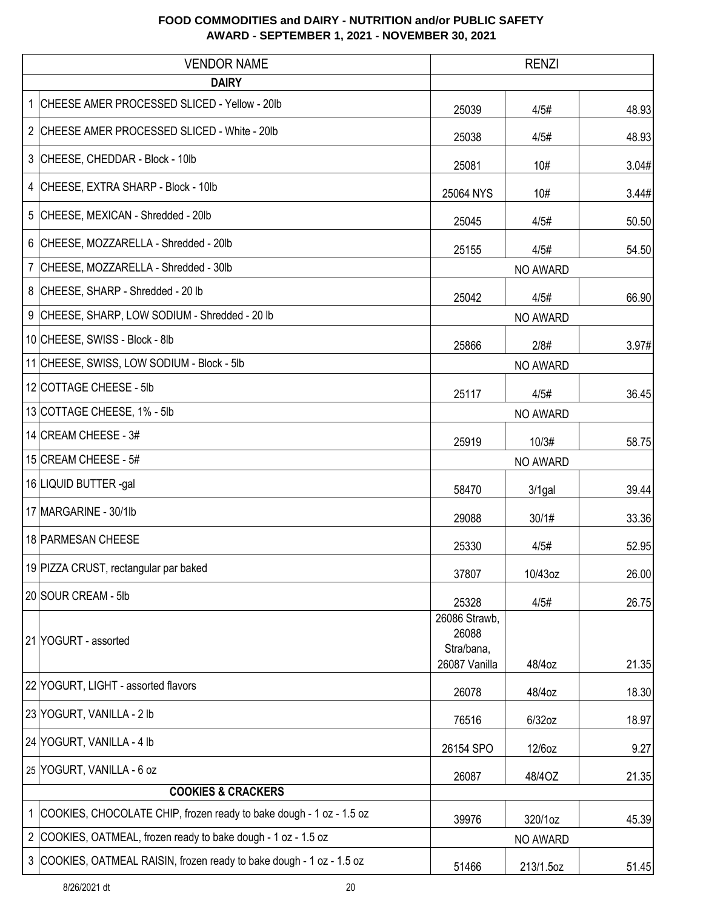|                | <b>VENDOR NAME</b>                                                    |                                                       | <b>RENZI</b> |       |
|----------------|-----------------------------------------------------------------------|-------------------------------------------------------|--------------|-------|
|                | <b>DAIRY</b>                                                          |                                                       |              |       |
|                | 1 CHEESE AMER PROCESSED SLICED - Yellow - 20lb                        | 25039                                                 | 4/5#         | 48.93 |
|                | 2 CHEESE AMER PROCESSED SLICED - White - 20lb                         | 25038                                                 | 4/5#         | 48.93 |
|                | 3 CHEESE, CHEDDAR - Block - 10lb                                      | 25081                                                 | 10#          | 3.04# |
|                | 4 CHEESE, EXTRA SHARP - Block - 10lb                                  | 25064 NYS                                             | 10#          | 3.44# |
|                | 5 CHEESE, MEXICAN - Shredded - 20lb                                   | 25045                                                 | 4/5#         | 50.50 |
|                | 6 CHEESE, MOZZARELLA - Shredded - 20lb                                | 25155                                                 | 4/5#         | 54.50 |
|                | 7 CHEESE, MOZZARELLA - Shredded - 30lb                                |                                                       | NO AWARD     |       |
|                | 8 CHEESE, SHARP - Shredded - 20 lb                                    | 25042                                                 | 4/5#         | 66.90 |
|                | 9 CHEESE, SHARP, LOW SODIUM - Shredded - 20 lb                        |                                                       | NO AWARD     |       |
|                | 10 CHEESE, SWISS - Block - 8lb                                        | 25866                                                 | 2/8#         | 3.97# |
|                | 11 CHEESE, SWISS, LOW SODIUM - Block - 5lb                            |                                                       | NO AWARD     |       |
|                | 12 COTTAGE CHEESE - 5lb                                               | 25117                                                 | 4/5#         | 36.45 |
|                | 13 COTTAGE CHEESE, 1% - 5lb                                           |                                                       | NO AWARD     |       |
|                | 14 CREAM CHEESE - 3#                                                  | 25919                                                 | 10/3#        | 58.75 |
|                | 15 CREAM CHEESE - 5#                                                  |                                                       | NO AWARD     |       |
|                | 16 LIQUID BUTTER -gal                                                 | 58470                                                 | $3/1$ gal    | 39.44 |
|                | 17 MARGARINE - 30/1lb                                                 | 29088                                                 | 30/1#        | 33.36 |
|                | 18 PARMESAN CHEESE                                                    | 25330                                                 | 4/5#         | 52.95 |
|                | 19 PIZZA CRUST, rectangular par baked                                 | 37807                                                 | 10/43oz      | 26.00 |
|                | 20 SOUR CREAM - 5lb                                                   | 25328                                                 | 4/5#         | 26.75 |
|                | 21 YOGURT - assorted                                                  | 26086 Strawb,<br>26088<br>Stra/bana,<br>26087 Vanilla | 48/4oz       | 21.35 |
|                | 22 YOGURT, LIGHT - assorted flavors                                   | 26078                                                 | 48/4oz       | 18.30 |
|                | 23 YOGURT, VANILLA - 2 lb                                             | 76516                                                 | 6/32oz       | 18.97 |
|                | 24 YOGURT, VANILLA - 4 lb                                             | 26154 SPO                                             | 12/6oz       | 9.27  |
|                | 25 YOGURT, VANILLA - 6 oz                                             | 26087                                                 | 48/40Z       | 21.35 |
|                | <b>COOKIES &amp; CRACKERS</b>                                         |                                                       |              |       |
| 1              | COOKIES, CHOCOLATE CHIP, frozen ready to bake dough - 1 oz - 1.5 oz   | 39976                                                 | 320/1oz      | 45.39 |
| $\overline{2}$ | COOKIES, OATMEAL, frozen ready to bake dough - 1 oz - 1.5 oz          |                                                       | NO AWARD     |       |
|                | 3 COOKIES, OATMEAL RAISIN, frozen ready to bake dough - 1 oz - 1.5 oz | 51466                                                 | 213/1.5oz    | 51.45 |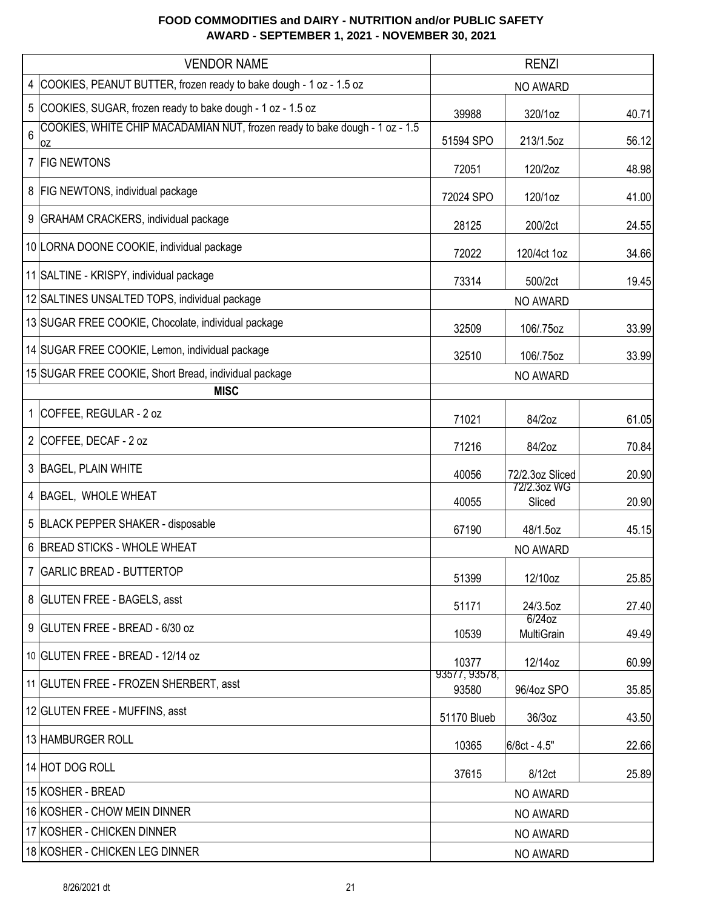| <b>VENDOR NAME</b>                                                                     |                        | <b>RENZI</b>            |       |
|----------------------------------------------------------------------------------------|------------------------|-------------------------|-------|
| 4 COOKIES, PEANUT BUTTER, frozen ready to bake dough - 1 oz - 1.5 oz                   |                        | NO AWARD                |       |
| 5<br>COOKIES, SUGAR, frozen ready to bake dough - 1 oz - 1.5 oz                        | 39988                  | 320/1oz                 | 40.71 |
| COOKIES, WHITE CHIP MACADAMIAN NUT, frozen ready to bake dough - 1 oz - 1.5<br>6<br>0Z | 51594 SPO              | 213/1.5oz               | 56.12 |
| $\overline{7}$<br><b>FIG NEWTONS</b>                                                   | 72051                  | 120/2oz                 | 48.98 |
| 8   FIG NEWTONS, individual package                                                    | 72024 SPO              | 120/1oz                 | 41.00 |
| 9 GRAHAM CRACKERS, individual package                                                  | 28125                  | 200/2ct                 | 24.55 |
| 10 LORNA DOONE COOKIE, individual package                                              | 72022                  | 120/4ct 1oz             | 34.66 |
| 11 SALTINE - KRISPY, individual package                                                | 73314                  | 500/2ct                 | 19.45 |
| 12 SALTINES UNSALTED TOPS, individual package                                          |                        | NO AWARD                |       |
| 13 SUGAR FREE COOKIE, Chocolate, individual package                                    | 32509                  | 106/.75oz               | 33.99 |
| 14 SUGAR FREE COOKIE, Lemon, individual package                                        | 32510                  | 106/.75oz               | 33.99 |
| 15 SUGAR FREE COOKIE, Short Bread, individual package                                  |                        | <b>NO AWARD</b>         |       |
| <b>MISC</b>                                                                            |                        |                         |       |
| 1 COFFEE, REGULAR - 2 oz                                                               | 71021                  | 84/2oz                  | 61.05 |
| 2 COFFEE, DECAF - 2 oz                                                                 | 71216                  | 84/2oz                  | 70.84 |
| 3 BAGEL, PLAIN WHITE                                                                   | 40056                  | 72/2.3oz Sliced         | 20.90 |
| 4 BAGEL, WHOLE WHEAT                                                                   | 40055                  | 72/2.3oz WG<br>Sliced   | 20.90 |
| 5 BLACK PEPPER SHAKER - disposable                                                     | 67190                  | 48/1.5oz                | 45.15 |
| 6 BREAD STICKS - WHOLE WHEAT                                                           |                        | NO AWARD                |       |
| 7 GARLIC BREAD - BUTTERTOP                                                             | 51399                  | 12/10oz                 | 25.85 |
| 8 GLUTEN FREE - BAGELS, asst                                                           | 51171                  | 24/3.5oz                | 27.40 |
| 9 GLUTEN FREE - BREAD - 6/30 oz                                                        | 10539                  | $6/24$ oz<br>MultiGrain | 49.49 |
| 10 GLUTEN FREE - BREAD - 12/14 oz                                                      | 10377                  | 12/14oz                 | 60.99 |
| 11 GLUTEN FREE - FROZEN SHERBERT, asst                                                 | 93577, 93578,<br>93580 | 96/4oz SPO              | 35.85 |
| 12 GLUTEN FREE - MUFFINS, asst                                                         | 51170 Blueb            | 36/3oz                  | 43.50 |
| 13 HAMBURGER ROLL                                                                      | 10365                  | 6/8ct - 4.5"            | 22.66 |
| 14 HOT DOG ROLL                                                                        | 37615                  | 8/12ct                  | 25.89 |
| 15 KOSHER - BREAD                                                                      |                        | NO AWARD                |       |
| 16 KOSHER - CHOW MEIN DINNER                                                           |                        | NO AWARD                |       |
| 17 KOSHER - CHICKEN DINNER                                                             |                        | NO AWARD                |       |
| 18 KOSHER - CHICKEN LEG DINNER                                                         |                        | NO AWARD                |       |